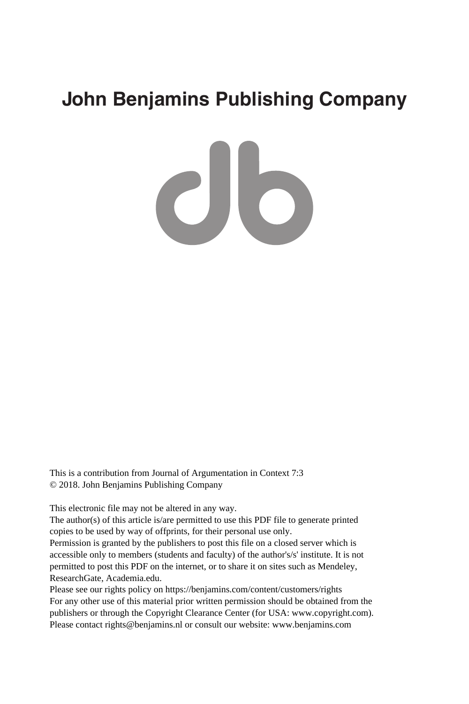# **John Benjamins Publishing Company**

CI5

This is a contribution from Journal of Argumentation in Context 7:3 © 2018. John Benjamins Publishing Company

This electronic file may not be altered in any way.

The author(s) of this article is/are permitted to use this PDF file to generate printed copies to be used by way of offprints, for their personal use only.

Permission is granted by the publishers to post this file on a closed server which is accessible only to members (students and faculty) of the author's/s' institute. It is not permitted to post this PDF on the internet, or to share it on sites such as Mendeley, ResearchGate, Academia.edu.

Please see our rights policy on https://benjamins.com/content/customers/rights For any other use of this material prior written permission should be obtained from the publishers or through the Copyright Clearance Center (for USA: www.copyright.com). Please contact rights@benjamins.nl or consult our website: www.benjamins.com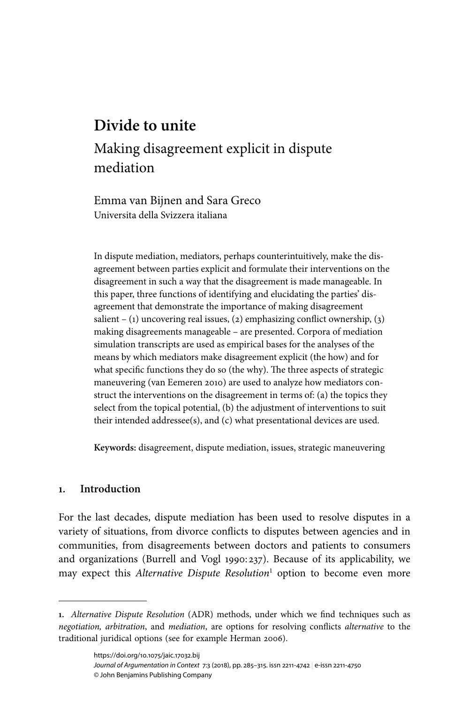## **Divide to unite**

## Making disagreement explicit in dispute mediation

Emma van Bijnen and Sara Greco Universita della Svizzera italiana

In dispute mediation, mediators, perhaps counterintuitively, make the disagreement between parties explicit and formulate their interventions on the disagreement in such a way that the disagreement is made manageable. In this paper, three functions of identifying and elucidating the parties' disagreement that demonstrate the importance of making disagreement salient – (1) uncovering real issues, (2) emphasizing conflict ownership, (3) making disagreements manageable – are presented. Corpora of mediation simulation transcripts are used as empirical bases for the analyses of the means by which mediators make disagreement explicit (the how) and for what specific functions they do so (the why). The three aspects of strategic maneuvering [\(van Eemeren 2010\)](#page-30-0) are used to analyze how mediators construct the interventions on the disagreement in terms of: (a) the topics they select from the topical potential, (b) the adjustment of interventions to suit their intended addressee(s), and (c) what presentational devices are used.

**Keywords:** disagreement, dispute mediation, issues, strategic maneuvering

## **1. Introduction**

For the last decades, dispute mediation has been used to resolve disputes in a variety of situations, from divorce conflicts to disputes between agencies and in communities, from disagreements between doctors and patients to consumers and organizations ([Burrell](#page-28-0) and Vogl 1990: 237). Because of its applicability, we may expect this Alternative Dispute Resolution<sup>1</sup> option to become even more

**<sup>1.</sup>** Alternative Dispute Resolution (ADR) methods, under which we find techniques such as negotiation, arbitration, and mediation, are options for resolving conflicts alternative to the traditional juridical options (see for example [Herman](#page-29-0) 2006).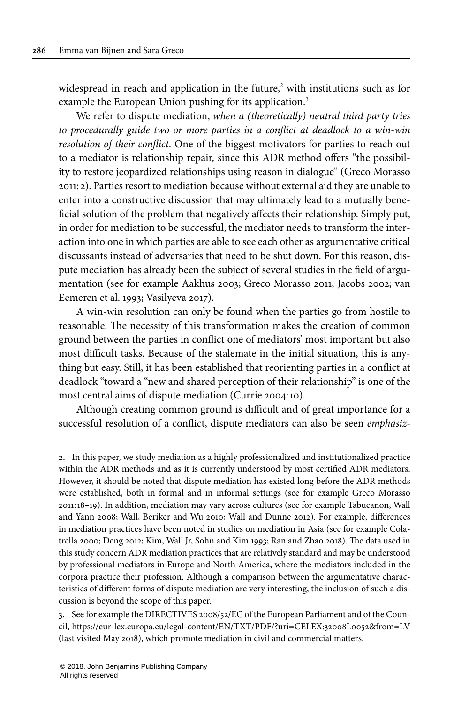widespread in reach and application in the future, <sup>2</sup> with institutions such as for example the European Union pushing for its application.<sup>3</sup>

We refer to dispute mediation, when a (theoretically) neutral third party tries to procedurally guide two or more parties in a conflict at deadlock to a win-win resolution of their conflict. One of the biggest motivators for parties to reach out to a mediator is relationship repair, since this ADR method offers "the possibility to restore jeopardized relationships using reason in dialogue" (Greco [Morasso](#page-29-1) [2011](#page-29-1): 2). Parties resort to mediation because without external aid they are unable to enter into a constructive discussion that may ultimately lead to a mutually beneficial solution of the problem that negatively affects their relationship. Simply put, in order for mediation to be successful, the mediator needs to transform the interaction into one in which parties are able to see each other as argumentative critical discussants instead of adversaries that need to be shut down. For this reason, dispute mediation has already been the subject of several studies in the field of argumentation (see for example [Aakhus](#page-28-1) 2003; Greco [Morasso](#page-29-1) 2011; [Jacobs](#page-29-2) 2002; [van](#page-30-1) [Eemeren et](#page-30-1) al. 1993; [Vasilyeva 2017\)](#page-30-2).

A win-win resolution can only be found when the parties go from hostile to reasonable. The necessity of this transformation makes the creation of common ground between the parties in conflict one of mediators' most important but also most difficult tasks. Because of the stalemate in the initial situation, this is anything but easy. Still, it has been established that reorienting parties in a conflict at deadlock "toward a "new and shared perception of their relationship" is one of the most central aims of dispute mediation ([Currie 2004:](#page-28-2)10).

Although creating common ground is difficult and of great importance for a successful resolution of a conflict, dispute mediators can also be seen emphasiz-

**<sup>2.</sup>** In this paper, we study mediation as a highly professionalized and institutionalized practice within the ADR methods and as it is currently understood by most certified ADR mediators. However, it should be noted that dispute mediation has existed long before the ADR methods were established, both in formal and in informal settings (see for example Greco [Morasso](#page-29-1) [2011:](#page-29-1)18–19). In addition, mediation may vary across cultures (see for example [Tabucanon,](#page-30-3) Wall and [Yann](#page-30-3) 2008; Wall, [Beriker](#page-30-4) and Wu 2010; Wall and [Dunne](#page-30-5) 2012). For example, differences in mediation practices have been noted in studies on mediation in Asia (see for example [Cola](#page-28-3)[trella](#page-28-3) 2000; [Deng](#page-28-4) 2012; Kim, Wall Jr, [Sohn](#page-29-3) and Kim 1993; Ran and [Zhao](#page-29-4) 2018). The data used in this study concern ADR mediation practices that are relatively standard and may be understood by professional mediators in Europe and North America, where the mediators included in the corpora practice their profession. Although a comparison between the argumentative characteristics of different forms of dispute mediation are very interesting, the inclusion of such a discussion is beyond the scope of this paper.

**<sup>3.</sup>** See for example the DIRECTIVES 2008/52/EC of the European Parliament and of the Council, <https://eur-lex.europa.eu/legal-content/EN/TXT/PDF/?uri=CELEX:32008L0052&from=LV> (last visited May 2018), which promote mediation in civil and commercial matters.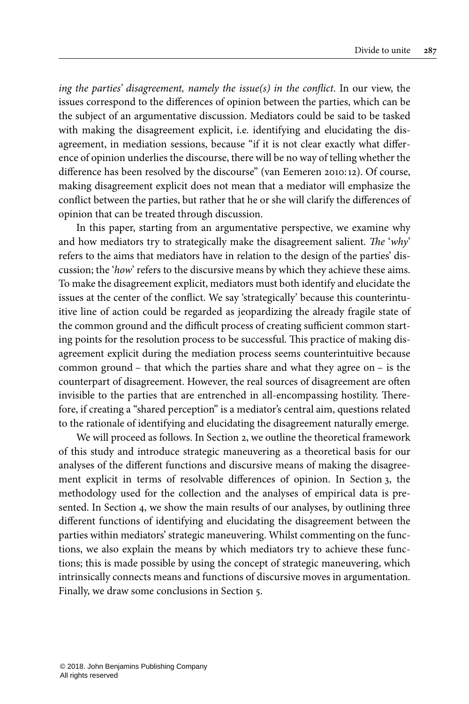ing the parties' disagreement, namely the issue(s) in the conflict. In our view, the issues correspond to the differences of opinion between the parties, which can be the subject of an argumentative discussion. Mediators could be said to be tasked with making the disagreement explicit, i.e. identifying and elucidating the disagreement, in mediation sessions, because "if it is not clear exactly what difference of opinion underlies the discourse, there will be no way of telling whether the difference has been resolved by the discourse" (van [Eemeren](#page-30-0) 2010:12). Of course, making disagreement explicit does not mean that a mediator will emphasize the conflict between the parties, but rather that he or she will clarify the differences of opinion that can be treated through discussion.

In this paper, starting from an argumentative perspective, we examine why and how mediators try to strategically make the disagreement salient. The 'why' refers to the aims that mediators have in relation to the design of the parties' discussion; the 'how' refers to the discursive means by which they achieve these aims. To make the disagreement explicit, mediators must both identify and elucidate the issues at the center of the conflict. We say 'strategically' because this counterintuitive line of action could be regarded as jeopardizing the already fragile state of the common ground and the difficult process of creating sufficient common starting points for the resolution process to be successful. This practice of making disagreement explicit during the mediation process seems counterintuitive because common ground – that which the parties share and what they agree on – is the counterpart of disagreement. However, the real sources of disagreement are often invisible to the parties that are entrenched in all-encompassing hostility. Therefore, if creating a "shared perception" is a mediator's central aim, questions related to the rationale of identifying and elucidating the disagreement naturally emerge.

We will proceed as follows. In [Section](#page-4-0) 2, we outline the theoretical framework of this study and introduce strategic maneuvering as a theoretical basis for our analyses of the different functions and discursive means of making the disagreement explicit in terms of resolvable differences of opinion. In [Section](#page-8-0) 3, the methodology used for the collection and the analyses of empirical data is presented. In [Section](#page-12-0) 4, we show the main results of our analyses, by outlining three different functions of identifying and elucidating the disagreement between the parties within mediators' strategic maneuvering. Whilst commenting on the functions, we also explain the means by which mediators try to achieve these functions; this is made possible by using the concept of strategic maneuvering, which intrinsically connects means and functions of discursive moves in argumentation. Finally, we draw some conclusions in [Section](#page-25-0) 5.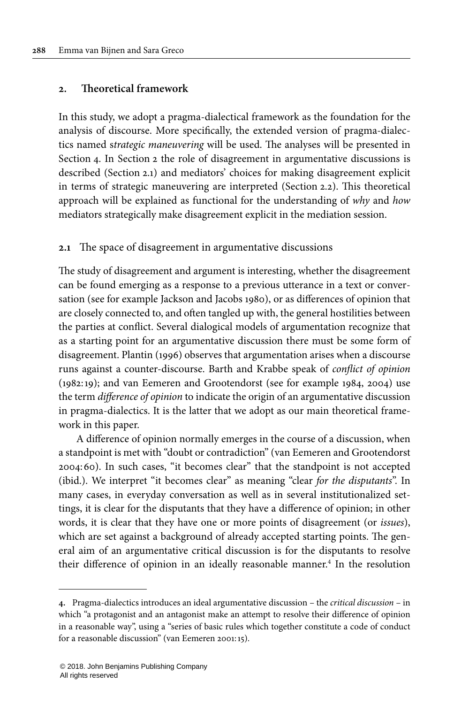## <span id="page-4-0"></span>**2. Theoretical framework**

In this study, we adopt a pragma-dialectical framework as the foundation for the analysis of discourse. More specifically, the extended version of pragma-dialectics named strategic maneuvering will be used. The analyses will be presented in [Section](#page-12-0) 4. In [Section](#page-4-0) 2 the role of disagreement in argumentative discussions is described [\(Section](#page-4-1) 2.1) and mediators' choices for making disagreement explicit in terms of strategic maneuvering are interpreted ([Section](#page-6-0) 2.2). This theoretical approach will be explained as functional for the understanding of why and how mediators strategically make disagreement explicit in the mediation session.

#### <span id="page-4-1"></span>**2.1** The space of disagreement in argumentative discussions

The study of disagreement and argument is interesting, whether the disagreement can be found emerging as a response to a previous utterance in a text or conversation (see for example [Jackson](#page-29-5) and Jacobs 1980), or as differences of opinion that are closely connected to, and often tangled up with, the general hostilities between the parties at conflict. Several dialogical models of argumentation recognize that as a starting point for an argumentative discussion there must be some form of disagreement. [Plantin](#page-29-6) (1996) observes that argumentation arises when a discourse runs against a counter-discourse. Barth and Krabbe speak of conflict of opinion (1982:19); and van Eemeren and Grootendorst (see for example [1984](#page-30-6), [2004\)](#page-30-7) use the term difference of opinion to indicate the origin of an argumentative discussion in pragma-dialectics. It is the latter that we adopt as our main theoretical framework in this paper.

A difference of opinion normally emerges in the course of a discussion, when a standpoint is met with "doubt or contradiction" (van Eemeren and [Grootendorst](#page-30-7) [2004](#page-30-7):60). In such cases, "it becomes clear" that the standpoint is not accepted (ibid.). We interpret "it becomes clear" as meaning "clear for the disputants". In many cases, in everyday conversation as well as in several institutionalized settings, it is clear for the disputants that they have a difference of opinion; in other words, it is clear that they have one or more points of disagreement (or issues), which are set against a background of already accepted starting points. The general aim of an argumentative critical discussion is for the disputants to resolve their difference of opinion in an ideally reasonable manner. 4 In the resolution

**<sup>4.</sup>** Pragma-dialectics introduces an ideal argumentative discussion – the critical discussion – in which "a protagonist and an antagonist make an attempt to resolve their difference of opinion in a reasonable way", using a "series of basic rules which together constitute a code of conduct for a reasonable discussion" ([van Eemeren 2001:](#page-30-8)15).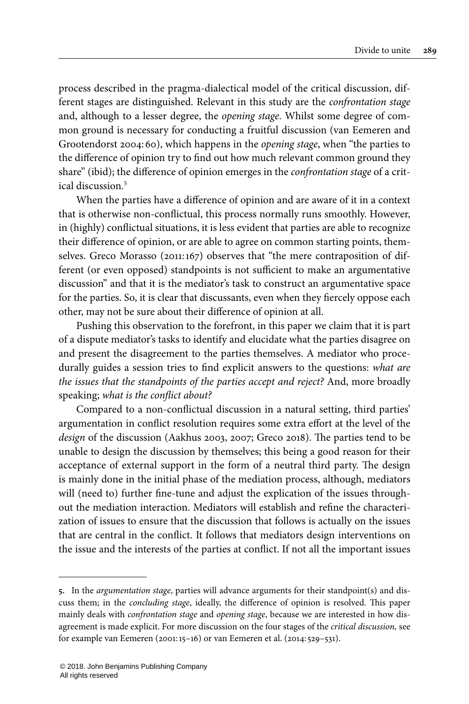process described in the pragma-dialectical model of the critical discussion, different stages are distinguished. Relevant in this study are the confrontation stage and, although to a lesser degree, the opening stage. Whilst some degree of common ground is necessary for conducting a fruitful discussion (van [Eemeren](#page-30-7) and [Grootendorst](#page-30-7) 2004:60), which happens in the opening stage, when "the parties to the difference of opinion try to find out how much relevant common ground they share" (ibid); the difference of opinion emerges in the *confrontation stage* of a critical discussion<sup>5</sup>

When the parties have a difference of opinion and are aware of it in a context that is otherwise non-conflictual, this process normally runs smoothly. However, in (highly) conflictual situations, it is less evident that parties are able to recognize their difference of opinion, or are able to agree on common starting points, themselves. Greco Morasso ([2011:](#page-29-1)167) observes that "the mere contraposition of different (or even opposed) standpoints is not sufficient to make an argumentative discussion" and that it is the mediator's task to construct an argumentative space for the parties. So, it is clear that discussants, even when they fiercely oppose each other, may not be sure about their difference of opinion at all.

Pushing this observation to the forefront, in this paper we claim that it is part of a dispute mediator's tasks to identify and elucidate what the parties disagree on and present the disagreement to the parties themselves. A mediator who procedurally guides a session tries to find explicit answers to the questions: what are the issues that the standpoints of the parties accept and reject? And, more broadly speaking; what is the conflict about?

Compared to a non-conflictual discussion in a natural setting, third parties' argumentation in conflict resolution requires some extra effort at the level of the design of the discussion ([Aakhus](#page-28-1) 2003, [2007;](#page-28-5) [Greco](#page-29-7) 2018). The parties tend to be unable to design the discussion by themselves; this being a good reason for their acceptance of external support in the form of a neutral third party. The design is mainly done in the initial phase of the mediation process, although, mediators will (need to) further fine-tune and adjust the explication of the issues throughout the mediation interaction. Mediators will establish and refine the characterization of issues to ensure that the discussion that follows is actually on the issues that are central in the conflict. It follows that mediators design interventions on the issue and the interests of the parties at conflict. If not all the important issues

**<sup>5.</sup>** In the argumentation stage, parties will advance arguments for their standpoint(s) and discuss them; in the concluding stage, ideally, the difference of opinion is resolved. This paper mainly deals with confrontation stage and opening stage, because we are interested in how disagreement is made explicit. For more discussion on the four stages of the critical discussion, see for example van Eemeren [\(2001:](#page-30-8)15–16) or van Eemeren et al. ([2014](#page-30-9): 529–531).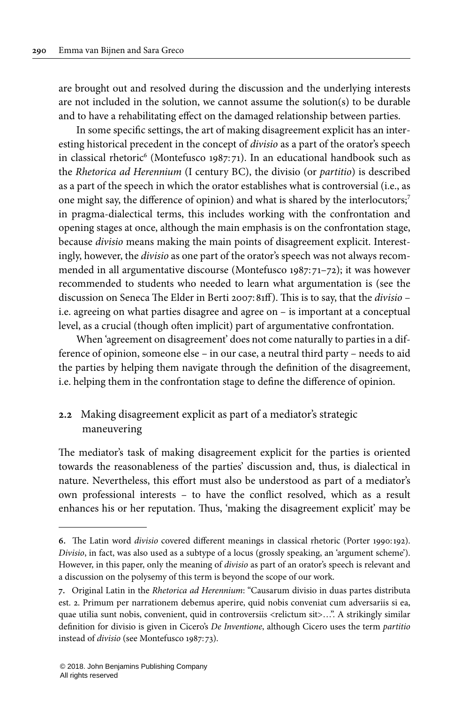are brought out and resolved during the discussion and the underlying interests are not included in the solution, we cannot assume the solution(s) to be durable and to have a rehabilitating effect on the damaged relationship between parties.

In some specific settings, the art of making disagreement explicit has an interesting historical precedent in the concept of divisio as a part of the orator's speech in classical rhetoric 6 [\(Montefusco](#page-29-8) 1987: 71). In an educational handbook such as the Rhetorica ad Herennium (I century BC), the divisio (or partitio) is described as a part of the speech in which the orator establishes what is controversial (i.e., as one might say, the difference of opinion) and what is shared by the interlocutors;<sup>7</sup> in pragma-dialectical terms, this includes working with the confrontation and opening stages at once, although the main emphasis is on the confrontation stage, because divisio means making the main points of disagreement explicit. Interestingly, however, the divisio as one part of the orator's speech was not always recommended in all argumentative discourse [\(Montefusco](#page-29-8) 1987: 71–72); it was however recommended to students who needed to learn what argumentation is (see the discussion on Seneca The Elder in [Berti](#page-28-6) 2007:81ff). This is to say, that the divisio – i.e. agreeing on what parties disagree and agree on – is important at a conceptual level, as a crucial (though often implicit) part of argumentative confrontation.

When 'agreement on disagreement' does not come naturally to parties in a difference of opinion, someone else – in our case, a neutral third party – needs to aid the parties by helping them navigate through the definition of the disagreement, i.e. helping them in the confrontation stage to define the difference of opinion.

## <span id="page-6-0"></span>**2.2** Making disagreement explicit as part of a mediator's strategic maneuvering

The mediator's task of making disagreement explicit for the parties is oriented towards the reasonableness of the parties' discussion and, thus, is dialectical in nature. Nevertheless, this effort must also be understood as part of a mediator's own professional interests – to have the conflict resolved, which as a result enhances his or her reputation. Thus, 'making the disagreement explicit' may be

**<sup>6.</sup>** The Latin word divisio covered different meanings in classical rhetoric [\(Porter](#page-29-9) 1990:192). Divisio, in fact, was also used as a subtype of a locus (grossly speaking, an 'argument scheme'). However, in this paper, only the meaning of divisio as part of an orator's speech is relevant and a discussion on the polysemy of this term is beyond the scope of our work.

**<sup>7.</sup>** Original Latin in the Rhetorica ad Herennium: "Causarum divisio in duas partes distributa est. 2. Primum per narrationem debemus aperire, quid nobis conveniat cum adversariis si ea, quae utilia sunt nobis, convenient, quid in controversiis <relictum sit>…". A strikingly similar definition for divisio is given in Cicero's De Inventione, although Cicero uses the term partitio instead of divisio (see [Montefusco 1987](#page-29-8): 73).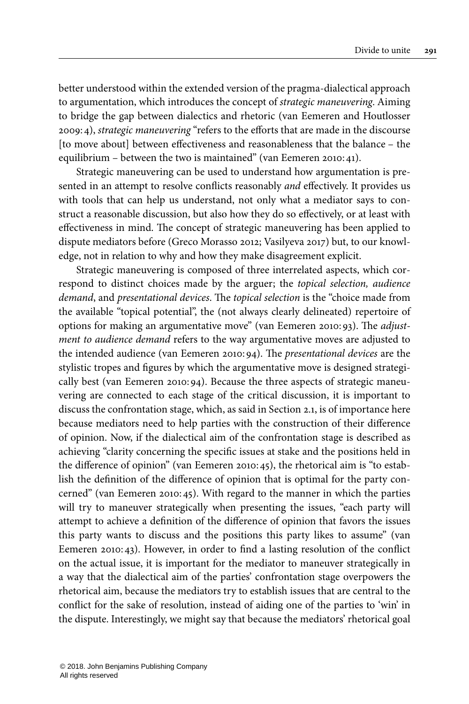better understood within the extended version of the pragma-dialectical approach to argumentation, which introduces the concept of strategic maneuvering. Aiming to bridge the gap between dialectics and rhetoric (van Eemeren and [Houtlosser](#page-30-10) [2009:](#page-30-10)4), strategic maneuvering "refers to the efforts that are made in the discourse [to move about] between effectiveness and reasonableness that the balance – the equilibrium – between the two is maintained" [\(van Eemeren 2010:](#page-30-0)41).

Strategic maneuvering can be used to understand how argumentation is presented in an attempt to resolve conflicts reasonably and effectively. It provides us with tools that can help us understand, not only what a mediator says to construct a reasonable discussion, but also how they do so effectively, or at least with effectiveness in mind. The concept of strategic maneuvering has been applied to dispute mediators before (Greco [Morasso](#page-29-10) 2012; [Vasilyeva](#page-30-2) 2017) but, to our knowledge, not in relation to why and how they make disagreement explicit.

Strategic maneuvering is composed of three interrelated aspects, which correspond to distinct choices made by the arguer; the topical selection, audience demand, and presentational devices. The topical selection is the "choice made from the available "topical potential", the (not always clearly delineated) repertoire of options for making an argumentative move" (van [Eemeren](#page-30-0) 2010:93). The adjustment to audience demand refers to the way argumentative moves are adjusted to the intended audience (van [Eemeren](#page-30-0) 2010:94). The presentational devices are the stylistic tropes and figures by which the argumentative move is designed strategically best (van [Eemeren](#page-30-0) 2010:94). Because the three aspects of strategic maneuvering are connected to each stage of the critical discussion, it is important to discuss the confrontation stage, which, as said in [Section](#page-4-1) 2.1, is of importance here because mediators need to help parties with the construction of their difference of opinion. Now, if the dialectical aim of the confrontation stage is described as achieving "clarity concerning the specific issues at stake and the positions held in the difference of opinion" (van [Eemeren](#page-30-0) 2010:45), the rhetorical aim is "to establish the definition of the difference of opinion that is optimal for the party concerned" (van [Eemeren](#page-30-0) 2010:45). With regard to the manner in which the parties will try to maneuver strategically when presenting the issues, "each party will attempt to achieve a definition of the difference of opinion that favors the issues this party wants to discuss and the positions this party likes to assume" ([van](#page-30-0) [Eemeren](#page-30-0) 2010:43). However, in order to find a lasting resolution of the conflict on the actual issue, it is important for the mediator to maneuver strategically in a way that the dialectical aim of the parties' confrontation stage overpowers the rhetorical aim, because the mediators try to establish issues that are central to the conflict for the sake of resolution, instead of aiding one of the parties to 'win' in the dispute. Interestingly, we might say that because the mediators' rhetorical goal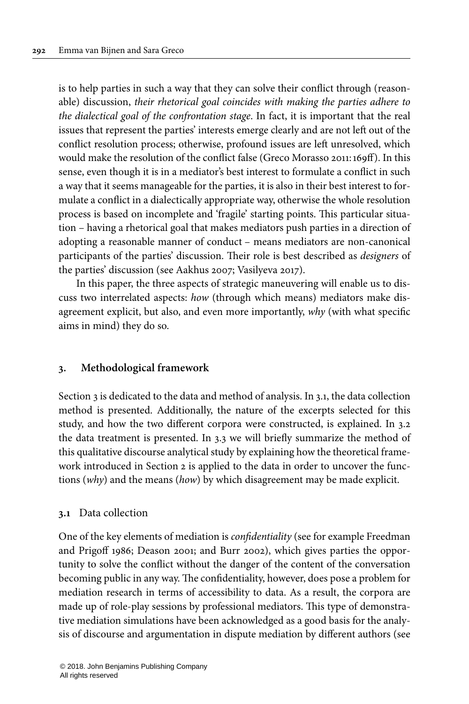is to help parties in such a way that they can solve their conflict through (reasonable) discussion, their rhetorical goal coincides with making the parties adhere to the dialectical goal of the confrontation stage. In fact, it is important that the real issues that represent the parties' interests emerge clearly and are not left out of the conflict resolution process; otherwise, profound issues are left unresolved, which would make the resolution of the conflict false (Greco [Morasso](#page-29-1) 2011:169ff). In this sense, even though it is in a mediator's best interest to formulate a conflict in such a way that it seems manageable for the parties, it is also in their best interest to formulate a conflict in a dialectically appropriate way, otherwise the whole resolution process is based on incomplete and 'fragile' starting points. This particular situation – having a rhetorical goal that makes mediators push parties in a direction of adopting a reasonable manner of conduct – means mediators are non-canonical participants of the parties' discussion. Their role is best described as designers of the parties' discussion (see [Aakhus 2007;](#page-28-5) [Vasilyeva 2017](#page-30-2)).

In this paper, the three aspects of strategic maneuvering will enable us to discuss two interrelated aspects: how (through which means) mediators make disagreement explicit, but also, and even more importantly, why (with what specific aims in mind) they do so.

## <span id="page-8-0"></span>**3. Methodological framework**

[Section](#page-8-0) 3 is dedicated to the data and method of analysis. In [3.1,](#page-8-1) the data collection method is presented. Additionally, the nature of the excerpts selected for this study, and how the two different corpora were constructed, is explained. In [3.2](#page-10-0) the data treatment is presented. In [3.3](#page-11-0) we will briefly summarize the method of this qualitative discourse analytical study by explaining how the theoretical framework introduced in [Section](#page-4-0) 2 is applied to the data in order to uncover the functions (why) and the means (how) by which disagreement may be made explicit.

## <span id="page-8-1"></span>**3.1** Data collection

One of the key elements of mediation is confidentiality (see for example [Freedman](#page-28-7) and [Prigoff](#page-28-7) 1986; [Deason](#page-28-8) 2001; and Burr [2002\)](#page-28-9), which gives parties the opportunity to solve the conflict without the danger of the content of the conversation becoming public in any way. The confidentiality, however, does pose a problem for mediation research in terms of accessibility to data. As a result, the corpora are made up of role-play sessions by professional mediators. This type of demonstrative mediation simulations have been acknowledged as a good basis for the analysis of discourse and argumentation in dispute mediation by different authors (see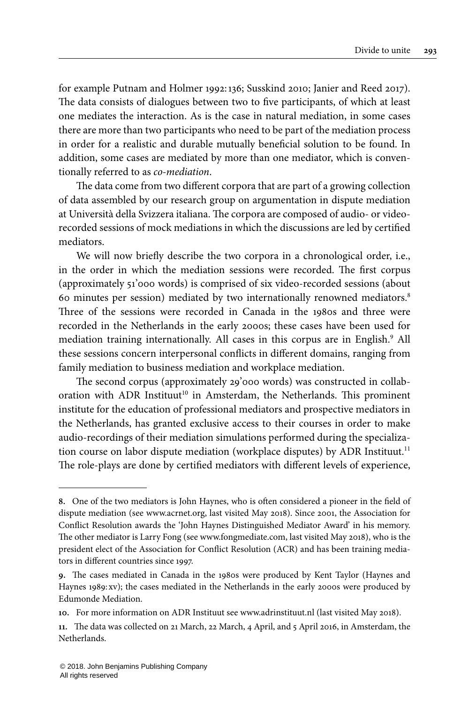for example [Putnam](#page-29-11) and Holmer 1992:136; [Susskind](#page-29-12) 2010; [Janier](#page-29-13) and Reed 2017). The data consists of dialogues between two to five participants, of which at least one mediates the interaction. As is the case in natural mediation, in some cases there are more than two participants who need to be part of the mediation process in order for a realistic and durable mutually beneficial solution to be found. In addition, some cases are mediated by more than one mediator, which is conventionally referred to as co-mediation.

The data come from two different corpora that are part of a growing collection of data assembled by our research group on argumentation in dispute mediation at Università della Svizzera italiana. The corpora are composed of audio- or videorecorded sessions of mock mediations in which the discussions are led by certified mediators.

We will now briefly describe the two corpora in a chronological order, i.e., in the order in which the mediation sessions were recorded. The first corpus (approximately 51'000 words) is comprised of six video-recorded sessions (about 60 minutes per session) mediated by two internationally renowned mediators.<sup>8</sup> Three of the sessions were recorded in Canada in the 1980s and three were recorded in the Netherlands in the early 2000s; these cases have been used for mediation training internationally. All cases in this corpus are in English.<sup>9</sup> All these sessions concern interpersonal conflicts in different domains, ranging from family mediation to business mediation and workplace mediation.

The second corpus (approximately 29'000 words) was constructed in collaboration with ADR Instituut<sup>10</sup> in Amsterdam, the Netherlands. This prominent institute for the education of professional mediators and prospective mediators in the Netherlands, has granted exclusive access to their courses in order to make audio-recordings of their mediation simulations performed during the specialization course on labor dispute mediation (workplace disputes) by ADR Instituut.<sup>11</sup> The role-plays are done by certified mediators with different levels of experience,

**<sup>8.</sup>** One of the two mediators is John Haynes, who is often considered a pioneer in the field of dispute mediation (see [www.acrnet.org](http://www.acrnet.org/), last visited May 2018). Since 2001, the Association for Conflict Resolution awards the 'John Haynes Distinguished Mediator Award' in his memory. The other mediator is Larry Fong (see [www.fongmediate.com](http://www.fongmediate.com/), last visited May 2018), who is the president elect of the Association for Conflict Resolution (ACR) and has been training mediators in different countries since 1997.

**<sup>9.</sup>** The cases mediated in Canada in the 1980s were produced by Kent Taylor [\(Haynes](#page-29-14) and [Haynes](#page-29-14) 1989:xv); the cases mediated in the Netherlands in the early 2000s were produced by Edumonde Mediation.

**<sup>10.</sup>** For more information on ADR Instituut see [www.adrinstituut.nl](http://www.adrinstituut.nl/) (last visited May 2018).

**<sup>11.</sup>** The data was collected on 21 March, 22 March, 4 April, and 5 April 2016, in Amsterdam, the Netherlands.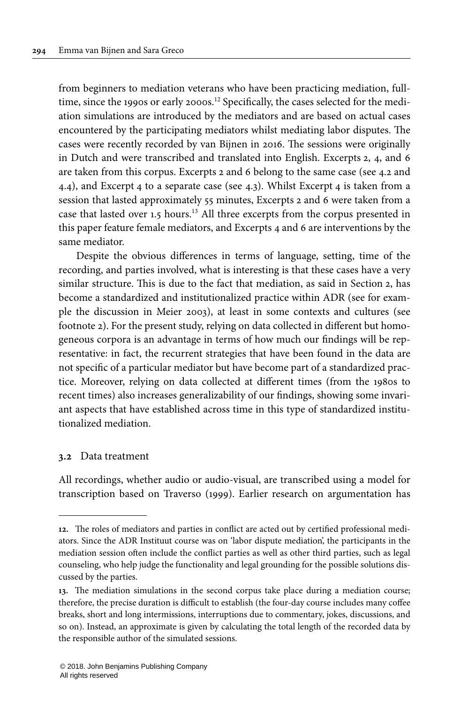from beginners to mediation veterans who have been practicing mediation, fulltime, since the 1990s or early 2000s.<sup>12</sup> Specifically, the cases selected for the mediation simulations are introduced by the mediators and are based on actual cases encountered by the participating mediators whilst mediating labor disputes. The cases were recently recorded by van Bijnen in 2016. The sessions were originally in Dutch and were transcribed and translated into English. [Excerpts](#page-17-0) 2, [4,](#page-21-0) and [6](#page-23-0) are taken from this corpus. [Excerpts](#page-17-0) 2 and [6](#page-23-0) belong to the same case (see [4.2](#page-16-0) and [4.4](#page-22-0)), and [Excerpt](#page-21-0) 4 to a separate case (see [4.3\)](#page-20-0). Whilst [Excerpt](#page-21-0) 4 is taken from a session that lasted approximately 55 minutes, [Excerpts](#page-17-0) 2 and [6](#page-23-0) were taken from a case that lasted over 1.5 hours.<sup>13</sup> All three excerpts from the corpus presented in this paper feature female mediators, and [Excerpts](#page-21-0) 4 and [6](#page-23-0) are interventions by the same mediator.

Despite the obvious differences in terms of language, setting, time of the recording, and parties involved, what is interesting is that these cases have a very similar structure. This is due to the fact that mediation, as said in [Section](#page-4-0) 2, has become a standardized and institutionalized practice within ADR (see for example the discussion in [Meier](#page-29-15) 2003), at least in some contexts and cultures (see footnote 2). For the present study, relying on data collected in different but homogeneous corpora is an advantage in terms of how much our findings will be representative: in fact, the recurrent strategies that have been found in the data are not specific of a particular mediator but have become part of a standardized practice. Moreover, relying on data collected at different times (from the 1980s to recent times) also increases generalizability of our findings, showing some invariant aspects that have established across time in this type of standardized institutionalized mediation.

#### <span id="page-10-0"></span>**3.2** Data treatment

All recordings, whether audio or audio-visual, are transcribed using a model for transcription based on [Traverso](#page-30-11) (1999). Earlier research on argumentation has

**<sup>12.</sup>** The roles of mediators and parties in conflict are acted out by certified professional mediators. Since the ADR Instituut course was on 'labor dispute mediation', the participants in the mediation session often include the conflict parties as well as other third parties, such as legal counseling, who help judge the functionality and legal grounding for the possible solutions discussed by the parties.

**<sup>13.</sup>** The mediation simulations in the second corpus take place during a mediation course; therefore, the precise duration is difficult to establish (the four-day course includes many coffee breaks, short and long intermissions, interruptions due to commentary, jokes, discussions, and so on). Instead, an approximate is given by calculating the total length of the recorded data by the responsible author of the simulated sessions.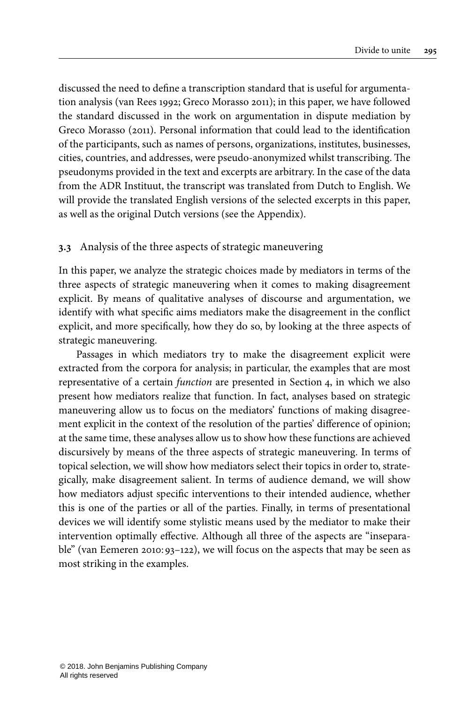discussed the need to define a transcription standard that is useful for argumentation analysis (van [Rees](#page-30-12) 1992; Greco [Morasso](#page-29-1) 2011); in this paper, we have followed the standard discussed in the work on argumentation in dispute mediation by Greco [Morasso](#page-29-1) (2011). Personal information that could lead to the identification of the participants, such as names of persons, organizations, institutes, businesses, cities, countries, and addresses, were pseudo-anonymized whilst transcribing. The pseudonyms provided in the text and excerpts are arbitrary. In the case of the data from the ADR Instituut, the transcript was translated from Dutch to English. We will provide the translated English versions of the selected excerpts in this paper, as well as the original Dutch versions (see the [Appendix\)](#page-31-1).

## <span id="page-11-0"></span>**3.3** Analysis of the three aspects of strategic maneuvering

In this paper, we analyze the strategic choices made by mediators in terms of the three aspects of strategic maneuvering when it comes to making disagreement explicit. By means of qualitative analyses of discourse and argumentation, we identify with what specific aims mediators make the disagreement in the conflict explicit, and more specifically, how they do so, by looking at the three aspects of strategic maneuvering.

Passages in which mediators try to make the disagreement explicit were extracted from the corpora for analysis; in particular, the examples that are most representative of a certain function are presented in [Section](#page-12-0) 4, in which we also present how mediators realize that function. In fact, analyses based on strategic maneuvering allow us to focus on the mediators' functions of making disagreement explicit in the context of the resolution of the parties' difference of opinion; at the same time, these analyses allow us to show how these functions are achieved discursively by means of the three aspects of strategic maneuvering. In terms of topical selection, we will show how mediators select their topics in order to, strategically, make disagreement salient. In terms of audience demand, we will show how mediators adjust specific interventions to their intended audience, whether this is one of the parties or all of the parties. Finally, in terms of presentational devices we will identify some stylistic means used by the mediator to make their intervention optimally effective. Although all three of the aspects are "inseparable" (van [Eemeren](#page-30-0) 2010:93–122), we will focus on the aspects that may be seen as most striking in the examples.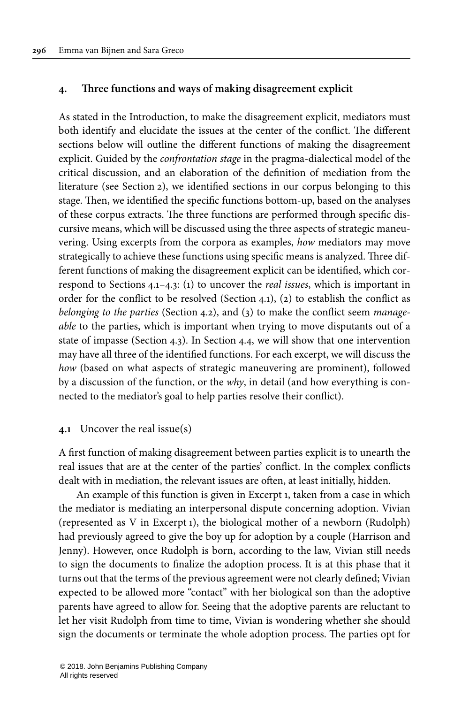#### <span id="page-12-0"></span>**4. Three functions and ways of making disagreement explicit**

As stated in the Introduction, to make the disagreement explicit, mediators must both identify and elucidate the issues at the center of the conflict. The different sections below will outline the different functions of making the disagreement explicit. Guided by the confrontation stage in the pragma-dialectical model of the critical discussion, and an elaboration of the definition of mediation from the literature (see [Section](#page-4-0) 2), we identified sections in our corpus belonging to this stage. Then, we identified the specific functions bottom-up, based on the analyses of these corpus extracts. The three functions are performed through specific discursive means, which will be discussed using the three aspects of strategic maneuvering. Using excerpts from the corpora as examples, how mediators may move strategically to achieve these functions using specific means is analyzed. Three different functions of making the disagreement explicit can be identified, which correspond to [Sections](#page-12-1) 4.1–[4.3](#page-20-0): (1) to uncover the real issues, which is important in order for the conflict to be resolved ([Section](#page-12-1) 4.1), (2) to establish the conflict as belonging to the parties [\(Section](#page-16-0) 4.2), and (3) to make the conflict seem manageable to the parties, which is important when trying to move disputants out of a state of impasse ([Section](#page-20-0) 4.3). In [Section](#page-22-0) 4.4, we will show that one intervention may have all three of the identified functions. For each excerpt, we will discuss the how (based on what aspects of strategic maneuvering are prominent), followed by a discussion of the function, or the why, in detail (and how everything is connected to the mediator's goal to help parties resolve their conflict).

#### <span id="page-12-1"></span>**4.1** Uncover the real issue(s)

A first function of making disagreement between parties explicit is to unearth the real issues that are at the center of the parties' conflict. In the complex conflicts dealt with in mediation, the relevant issues are often, at least initially, hidden.

An example of this function is given in [Excerpt](#page-13-0) 1, taken from a case in which the mediator is mediating an interpersonal dispute concerning adoption. Vivian (represented as V in [Excerpt](#page-13-0) 1), the biological mother of a newborn (Rudolph) had previously agreed to give the boy up for adoption by a couple (Harrison and Jenny). However, once Rudolph is born, according to the law, Vivian still needs to sign the documents to finalize the adoption process. It is at this phase that it turns out that the terms of the previous agreement were not clearly defined; Vivian expected to be allowed more "contact" with her biological son than the adoptive parents have agreed to allow for. Seeing that the adoptive parents are reluctant to let her visit Rudolph from time to time, Vivian is wondering whether she should sign the documents or terminate the whole adoption process. The parties opt for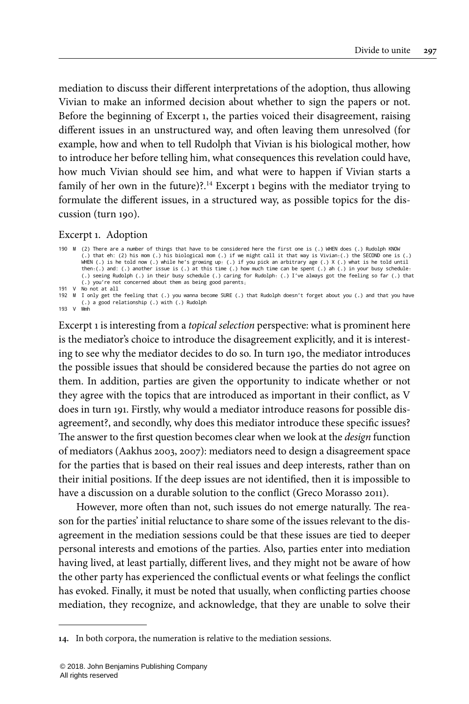mediation to discuss their different interpretations of the adoption, thus allowing Vivian to make an informed decision about whether to sign the papers or not. Before the beginning of [Excerpt](#page-13-0) 1, the parties voiced their disagreement, raising different issues in an unstructured way, and often leaving them unresolved (for example, how and when to tell Rudolph that Vivian is his biological mother, how to introduce her before telling him, what consequences this revelation could have, how much Vivian should see him, and what were to happen if Vivian starts a family of her own in the future)?.<sup>14</sup> [Excerpt](#page-13-0) 1 begins with the mediator trying to formulate the different issues, in a structured way, as possible topics for the discussion (turn 190).

#### <span id="page-13-0"></span>Excerpt 1. Adoption

193 V Mmh

```
190 M (2) There are a number of things that have to be considered here the first one is (.) WHEN does (.) Rudolph KNOW
          (.) that eh: (2) his mom (.) his biological mom (.) if we might call it that way is Vivian↑(.) the SECOND one is (.)
           WHEN (.) is he told now (.) while he's growing up<sub>1</sub> (.) if you pick an arbitrary age (.) X (.) what is he told until<br>then<sub>1</sub>(.) and: (.) another issue is (.) at this time (.) how much time can be spent (.) ah (.) in your 
191 V No not at all
192 M I only get the feeling that (.) you wanna become SURE (.) that Rudolph doesn't forget about you (.) and that you have
(.) a good relationship (.) with (.) Rudolph
```
[Excerpt](#page-13-0) 1 is interesting from a topical selection perspective: what is prominent here is the mediator's choice to introduce the disagreement explicitly, and it is interesting to see why the mediator decides to do so. In turn 190, the mediator introduces the possible issues that should be considered because the parties do not agree on them. In addition, parties are given the opportunity to indicate whether or not they agree with the topics that are introduced as important in their conflict, as V does in turn 191. Firstly, why would a mediator introduce reasons for possible disagreement?, and secondly, why does this mediator introduce these specific issues? The answer to the first question becomes clear when we look at the design function of mediators ([Aakhus](#page-28-1) 2003, [2007\)](#page-28-5): mediators need to design a disagreement space for the parties that is based on their real issues and deep interests, rather than on their initial positions. If the deep issues are not identified, then it is impossible to have a discussion on a durable solution to the conflict ([Greco Morasso 2011](#page-29-1)).

However, more often than not, such issues do not emerge naturally. The reason for the parties' initial reluctance to share some of the issues relevant to the disagreement in the mediation sessions could be that these issues are tied to deeper personal interests and emotions of the parties. Also, parties enter into mediation having lived, at least partially, different lives, and they might not be aware of how the other party has experienced the conflictual events or what feelings the conflict has evoked. Finally, it must be noted that usually, when conflicting parties choose mediation, they recognize, and acknowledge, that they are unable to solve their

**<sup>14.</sup>** In both corpora, the numeration is relative to the mediation sessions.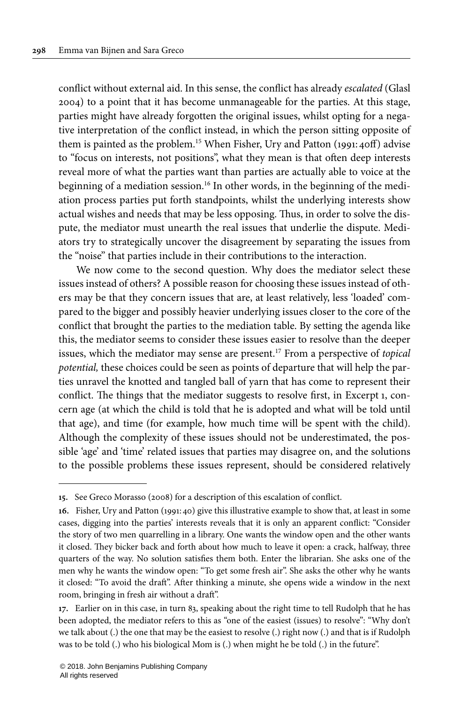conflict without external aid. In this sense, the conflict has already escalated ([Glasl](#page-29-16) [2004](#page-29-16)) to a point that it has become unmanageable for the parties. At this stage, parties might have already forgotten the original issues, whilst opting for a negative interpretation of the conflict instead, in which the person sitting opposite of them is painted as the problem.<sup>15</sup> When Fisher, Ury and Patton [\(1991:](#page-28-10)40ff) advise to "focus on interests, not positions", what they mean is that often deep interests reveal more of what the parties want than parties are actually able to voice at the beginning of a mediation session.<sup>16</sup> In other words, in the beginning of the mediation process parties put forth standpoints, whilst the underlying interests show actual wishes and needs that may be less opposing. Thus, in order to solve the dispute, the mediator must unearth the real issues that underlie the dispute. Mediators try to strategically uncover the disagreement by separating the issues from the "noise" that parties include in their contributions to the interaction.

We now come to the second question. Why does the mediator select these issues instead of others? A possible reason for choosing these issues instead of others may be that they concern issues that are, at least relatively, less 'loaded' compared to the bigger and possibly heavier underlying issues closer to the core of the conflict that brought the parties to the mediation table. By setting the agenda like this, the mediator seems to consider these issues easier to resolve than the deeper issues, which the mediator may sense are present.<sup>17</sup> From a perspective of *topical* potential, these choices could be seen as points of departure that will help the parties unravel the knotted and tangled ball of yarn that has come to represent their conflict. The things that the mediator suggests to resolve first, in [Excerpt](#page-13-0) 1, concern age (at which the child is told that he is adopted and what will be told until that age), and time (for example, how much time will be spent with the child). Although the complexity of these issues should not be underestimated, the possible 'age' and 'time' related issues that parties may disagree on, and the solutions to the possible problems these issues represent, should be considered relatively

**<sup>15.</sup>** See [Greco Morasso \(2008\)](#page-29-17) for a description of this escalation of conflict.

**<sup>16.</sup>** Fisher, Ury and Patton ([1991:](#page-28-10)40) give this illustrative example to show that, at least in some cases, digging into the parties' interests reveals that it is only an apparent conflict: "Consider the story of two men quarrelling in a library. One wants the window open and the other wants it closed. They bicker back and forth about how much to leave it open: a crack, halfway, three quarters of the way. No solution satisfies them both. Enter the librarian. She asks one of the men why he wants the window open: "To get some fresh air". She asks the other why he wants it closed: "To avoid the draft". After thinking a minute, she opens wide a window in the next room, bringing in fresh air without a draft".

**<sup>17.</sup>** Earlier on in this case, in turn 83, speaking about the right time to tell Rudolph that he has been adopted, the mediator refers to this as "one of the easiest (issues) to resolve": "Why don't we talk about (.) the one that may be the easiest to resolve (.) right now (.) and that is if Rudolph was to be told (.) who his biological Mom is (.) when might he be told (.) in the future".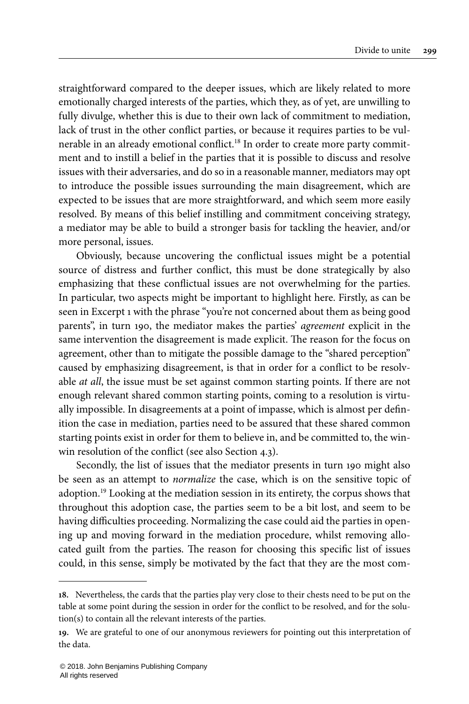straightforward compared to the deeper issues, which are likely related to more emotionally charged interests of the parties, which they, as of yet, are unwilling to fully divulge, whether this is due to their own lack of commitment to mediation, lack of trust in the other conflict parties, or because it requires parties to be vulnerable in an already emotional conflict. <sup>18</sup> In order to create more party commitment and to instill a belief in the parties that it is possible to discuss and resolve issues with their adversaries, and do so in a reasonable manner, mediators may opt to introduce the possible issues surrounding the main disagreement, which are expected to be issues that are more straightforward, and which seem more easily resolved. By means of this belief instilling and commitment conceiving strategy, a mediator may be able to build a stronger basis for tackling the heavier, and/or more personal, issues.

Obviously, because uncovering the conflictual issues might be a potential source of distress and further conflict, this must be done strategically by also emphasizing that these conflictual issues are not overwhelming for the parties. In particular, two aspects might be important to highlight here. Firstly, as can be seen in [Excerpt](#page-13-0) 1 with the phrase "you're not concerned about them as being good parents", in turn 190, the mediator makes the parties' agreement explicit in the same intervention the disagreement is made explicit. The reason for the focus on agreement, other than to mitigate the possible damage to the "shared perception" caused by emphasizing disagreement, is that in order for a conflict to be resolvable *at all*, the issue must be set against common starting points. If there are not enough relevant shared common starting points, coming to a resolution is virtually impossible. In disagreements at a point of impasse, which is almost per definition the case in mediation, parties need to be assured that these shared common starting points exist in order for them to believe in, and be committed to, the winwin resolution of the conflict (see also [Section](#page-20-0) 4.3).

Secondly, the list of issues that the mediator presents in turn 190 might also be seen as an attempt to normalize the case, which is on the sensitive topic of adoption.<sup>19</sup> Looking at the mediation session in its entirety, the corpus shows that throughout this adoption case, the parties seem to be a bit lost, and seem to be having difficulties proceeding. Normalizing the case could aid the parties in opening up and moving forward in the mediation procedure, whilst removing allocated guilt from the parties. The reason for choosing this specific list of issues could, in this sense, simply be motivated by the fact that they are the most com-

**<sup>18.</sup>** Nevertheless, the cards that the parties play very close to their chests need to be put on the table at some point during the session in order for the conflict to be resolved, and for the solution(s) to contain all the relevant interests of the parties.

**<sup>19.</sup>** We are grateful to one of our anonymous reviewers for pointing out this interpretation of the data.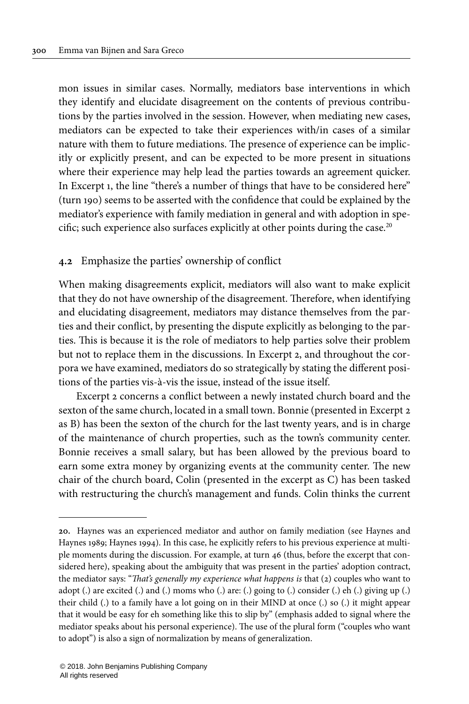mon issues in similar cases. Normally, mediators base interventions in which they identify and elucidate disagreement on the contents of previous contributions by the parties involved in the session. However, when mediating new cases, mediators can be expected to take their experiences with/in cases of a similar nature with them to future mediations. The presence of experience can be implicitly or explicitly present, and can be expected to be more present in situations where their experience may help lead the parties towards an agreement quicker. In [Excerpt](#page-13-0) 1, the line "there's a number of things that have to be considered here" (turn 190) seems to be asserted with the confidence that could be explained by the mediator's experience with family mediation in general and with adoption in specific; such experience also surfaces explicitly at other points during the case. $^{20}$ 

## <span id="page-16-0"></span>**4.2** Emphasize the parties' ownership of conflict

When making disagreements explicit, mediators will also want to make explicit that they do not have ownership of the disagreement. Therefore, when identifying and elucidating disagreement, mediators may distance themselves from the parties and their conflict, by presenting the dispute explicitly as belonging to the parties. This is because it is the role of mediators to help parties solve their problem but not to replace them in the discussions. In [Excerpt](#page-17-0) 2, and throughout the corpora we have examined, mediators do so strategically by stating the different positions of the parties vis-à-vis the issue, instead of the issue itself.

[Excerpt](#page-17-0) 2 concerns a conflict between a newly instated church board and the sexton of the same church, located in a small town. Bonnie (presented in [Excerpt](#page-17-0) 2 as B) has been the sexton of the church for the last twenty years, and is in charge of the maintenance of church properties, such as the town's community center. Bonnie receives a small salary, but has been allowed by the previous board to earn some extra money by organizing events at the community center. The new chair of the church board, Colin (presented in the excerpt as C) has been tasked with restructuring the church's management and funds. Colin thinks the current

**<sup>20.</sup>** Haynes was an experienced mediator and author on family mediation (see [Haynes](#page-29-14) and [Haynes](#page-29-14) 1989; [Haynes](#page-29-18) 1994). In this case, he explicitly refers to his previous experience at multiple moments during the discussion. For example, at turn 46 (thus, before the excerpt that considered here), speaking about the ambiguity that was present in the parties' adoption contract, the mediator says: "That's generally my experience what happens is that (2) couples who want to adopt (.) are excited (.) and (.) moms who (.) are: (.) going to (.) consider (.) eh (.) giving up (.) their child (.) to a family have a lot going on in their MIND at once (.) so (.) it might appear that it would be easy for eh something like this to slip by" (emphasis added to signal where the mediator speaks about his personal experience). The use of the plural form ("couples who want to adopt") is also a sign of normalization by means of generalization.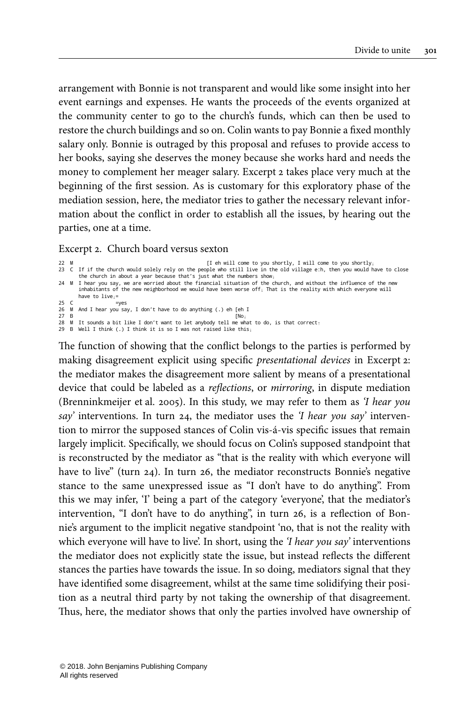arrangement with Bonnie is not transparent and would like some insight into her event earnings and expenses. He wants the proceeds of the events organized at the community center to go to the church's funds, which can then be used to restore the church buildings and so on. Colin wants to pay Bonnie a fixed monthly salary only. Bonnie is outraged by this proposal and refuses to provide access to her books, saying she deserves the money because she works hard and needs the money to complement her meager salary. [Excerpt](#page-17-0) 2 takes place very much at the beginning of the first session. As is customary for this exploratory phase of the mediation session, here, the mediator tries to gather the necessary relevant information about the conflict in order to establish all the issues, by hearing out the parties, one at a time.

#### <span id="page-17-0"></span>Excerpt 2. Church board versus sexton

- 22 M [I eh will come to you shortly, I will come to you shortly↓ 23 C If if the church would solely rely on the people who still live in the old village e:h, then you would have to close
- the church in about a year because that's just what the numbers show』<br>Mi I hear you say, we are worried about the financial situation of the church, and without the influence of the new<br>inhabitants of the new neighborhood have to  $live_{+}$ = $ves$
- 25 C =yes 26 M And I hear you say, I don't have to do anything (.) eh [eh I
- 
- 27 B<br>28 M It sounds a bit like I don't want to let anybody tell me what to do, is that correct<sub>↑</sub><br>29 B Well I think (.) I think it is so I was not raised like this<sub>↓</sub>
- 

The function of showing that the conflict belongs to the parties is performed by making disagreement explicit using specific presentational devices in [Excerpt](#page-17-0) 2: the mediator makes the disagreement more salient by means of a presentational device that could be labeled as a reflections, or mirroring, in dispute mediation [\(Brenninkmeijer](#page-28-11) et al. 2005). In this study, we may refer to them as 'I hear you say' interventions. In turn 24, the mediator uses the 'I hear you say' intervention to mirror the supposed stances of Colin vis-á-vis specific issues that remain largely implicit. Specifically, we should focus on Colin's supposed standpoint that is reconstructed by the mediator as "that is the reality with which everyone will have to live" (turn 24). In turn 26, the mediator reconstructs Bonnie's negative stance to the same unexpressed issue as "I don't have to do anything". From this we may infer, 'I' being a part of the category 'everyone', that the mediator's intervention, "I don't have to do anything", in turn 26, is a reflection of Bonnie's argument to the implicit negative standpoint 'no, that is not the reality with which everyone will have to live'. In short, using the '*I hear you say*' interventions the mediator does not explicitly state the issue, but instead reflects the different stances the parties have towards the issue. In so doing, mediators signal that they have identified some disagreement, whilst at the same time solidifying their position as a neutral third party by not taking the ownership of that disagreement. Thus, here, the mediator shows that only the parties involved have ownership of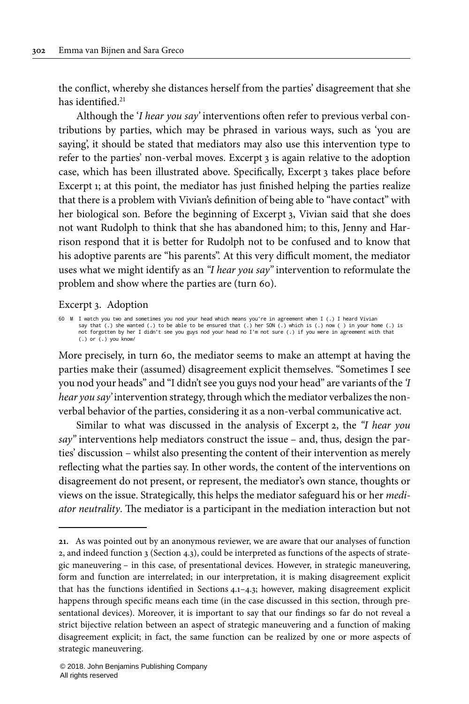the conflict, whereby she distances herself from the parties' disagreement that she has identified. 21

Although the 'I hear you say' interventions often refer to previous verbal contributions by parties, which may be phrased in various ways, such as 'you are saying', it should be stated that mediators may also use this intervention type to refer to the parties' non-verbal moves. [Excerpt](#page-18-0) 3 is again relative to the adoption case, which has been illustrated above. Specifically, [Excerpt](#page-18-0) 3 takes place before [Excerpt](#page-13-0) 1; at this point, the mediator has just finished helping the parties realize that there is a problem with Vivian's definition of being able to "have contact" with her biological son. Before the beginning of [Excerpt](#page-18-0) 3, Vivian said that she does not want Rudolph to think that she has abandoned him; to this, Jenny and Harrison respond that it is better for Rudolph not to be confused and to know that his adoptive parents are "his parents". At this very difficult moment, the mediator uses what we might identify as an "I hear you say" intervention to reformulate the problem and show where the parties are (turn 60).

#### <span id="page-18-0"></span>Excerpt 3. Adoption

60 M I watch you two and sometimes you nod your head which means you're in agreement when I (.) I heard Vivian<br>say that (.) the wanted (.) to be able to be ensured that (.) her SON (.) which is (.) now ( ) in your home (.) (.) or (.) you know/

More precisely, in turn 60, the mediator seems to make an attempt at having the parties make their (assumed) disagreement explicit themselves. "Sometimes I see you nod your heads" and "I didn't see you guys nod your head" are variants of the 'I hear you say' intervention strategy, through which the mediator verbalizes the nonverbal behavior of the parties, considering it as a non-verbal communicative act.

Similar to what was discussed in the analysis of [Excerpt](#page-17-0) 2, the "I hear you say" interventions help mediators construct the issue – and, thus, design the parties' discussion – whilst also presenting the content of their intervention as merely reflecting what the parties say. In other words, the content of the interventions on disagreement do not present, or represent, the mediator's own stance, thoughts or views on the issue. Strategically, this helps the mediator safeguard his or her mediator neutrality. The mediator is a participant in the mediation interaction but not

**<sup>21.</sup>** As was pointed out by an anonymous reviewer, we are aware that our analyses of function 2, and indeed function 3 [\(Section](#page-20-0) 4.3), could be interpreted as functions of the aspects of strategic maneuvering – in this case, of presentational devices. However, in strategic maneuvering, form and function are interrelated; in our interpretation, it is making disagreement explicit that has the functions identified in [Sections](#page-12-1) 4.1[–4.3](#page-20-0); however, making disagreement explicit happens through specific means each time (in the case discussed in this section, through presentational devices). Moreover, it is important to say that our findings so far do not reveal a strict bijective relation between an aspect of strategic maneuvering and a function of making disagreement explicit; in fact, the same function can be realized by one or more aspects of strategic maneuvering.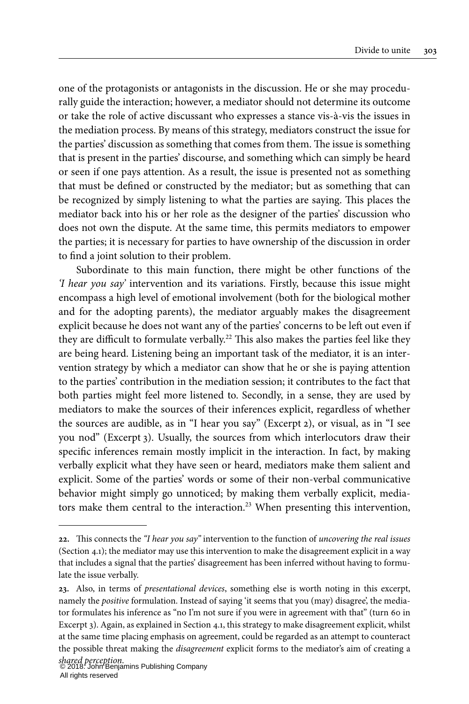one of the protagonists or antagonists in the discussion. He or she may procedurally guide the interaction; however, a mediator should not determine its outcome or take the role of active discussant who expresses a stance vis-à-vis the issues in the mediation process. By means of this strategy, mediators construct the issue for the parties' discussion as something that comes from them. The issue is something that is present in the parties' discourse, and something which can simply be heard or seen if one pays attention. As a result, the issue is presented not as something that must be defined or constructed by the mediator; but as something that can be recognized by simply listening to what the parties are saying. This places the mediator back into his or her role as the designer of the parties' discussion who does not own the dispute. At the same time, this permits mediators to empower the parties; it is necessary for parties to have ownership of the discussion in order to find a joint solution to their problem.

Subordinate to this main function, there might be other functions of the 'I hear you say' intervention and its variations. Firstly, because this issue might encompass a high level of emotional involvement (both for the biological mother and for the adopting parents), the mediator arguably makes the disagreement explicit because he does not want any of the parties' concerns to be left out even if they are difficult to formulate verbally. <sup>22</sup> This also makes the parties feel like they are being heard. Listening being an important task of the mediator, it is an intervention strategy by which a mediator can show that he or she is paying attention to the parties' contribution in the mediation session; it contributes to the fact that both parties might feel more listened to. Secondly, in a sense, they are used by mediators to make the sources of their inferences explicit, regardless of whether the sources are audible, as in "I hear you say" ([Excerpt](#page-17-0) 2), or visual, as in "I see you nod" ([Excerpt](#page-18-0) 3). Usually, the sources from which interlocutors draw their specific inferences remain mostly implicit in the interaction. In fact, by making verbally explicit what they have seen or heard, mediators make them salient and explicit. Some of the parties' words or some of their non-verbal communicative behavior might simply go unnoticed; by making them verbally explicit, mediators make them central to the interaction.<sup>23</sup> When presenting this intervention,

**<sup>22.</sup>** This connects the "I hear you say" intervention to the function of uncovering the real issues ([Section](#page-12-1) 4.1); the mediator may use this intervention to make the disagreement explicit in a way that includes a signal that the parties' disagreement has been inferred without having to formulate the issue verbally.

**<sup>23.</sup>** Also, in terms of presentational devices, something else is worth noting in this excerpt, namely the positive formulation. Instead of saying 'it seems that you (may) disagree', the mediator formulates his inference as "no I'm not sure if you were in agreement with that" (turn 60 in [Excerpt](#page-18-0) 3). Again, as explained in [Section](#page-12-1) 4.1, this strategy to make disagreement explicit, whilst at the same time placing emphasis on agreement, could be regarded as an attempt to counteract the possible threat making the disagreement explicit forms to the mediator's aim of creating a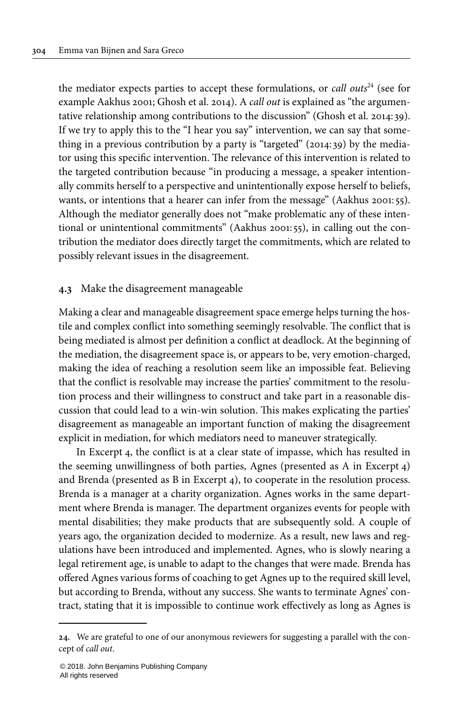the mediator expects parties to accept these formulations, or call outs<sup>24</sup> (see for example [Aakhus](#page-28-12) 2001; [Ghosh](#page-28-13) et al. 2014). A *call out* is explained as "the argumentative relationship among contributions to the discussion" [\(Ghosh](#page-28-13) et al. 2014: 39). If we try to apply this to the "I hear you say" intervention, we can say that something in a previous contribution by a party is "targeted" (2014: 39) by the mediator using this specific intervention. The relevance of this intervention is related to the targeted contribution because "in producing a message, a speaker intentionally commits herself to a perspective and unintentionally expose herself to beliefs, wants, or intentions that a hearer can infer from the message" ([Aakhus](#page-28-12) 2001: 55). Although the mediator generally does not "make problematic any of these intentional or unintentional commitments" ([Aakhus](#page-28-12) 2001: 55), in calling out the contribution the mediator does directly target the commitments, which are related to possibly relevant issues in the disagreement.

#### <span id="page-20-0"></span>**4.3** Make the disagreement manageable

Making a clear and manageable disagreement space emerge helps turning the hostile and complex conflict into something seemingly resolvable. The conflict that is being mediated is almost per definition a conflict at deadlock. At the beginning of the mediation, the disagreement space is, or appears to be, very emotion-charged, making the idea of reaching a resolution seem like an impossible feat. Believing that the conflict is resolvable may increase the parties' commitment to the resolution process and their willingness to construct and take part in a reasonable discussion that could lead to a win-win solution. This makes explicating the parties' disagreement as manageable an important function of making the disagreement explicit in mediation, for which mediators need to maneuver strategically.

In [Excerpt](#page-21-0) 4, the conflict is at a clear state of impasse, which has resulted in the seeming unwillingness of both parties, Agnes (presented as A in [Excerpt](#page-21-0) 4) and Brenda (presented as B in [Excerpt](#page-21-0) 4), to cooperate in the resolution process. Brenda is a manager at a charity organization. Agnes works in the same department where Brenda is manager. The department organizes events for people with mental disabilities; they make products that are subsequently sold. A couple of years ago, the organization decided to modernize. As a result, new laws and regulations have been introduced and implemented. Agnes, who is slowly nearing a legal retirement age, is unable to adapt to the changes that were made. Brenda has offered Agnes various forms of coaching to get Agnes up to the required skill level, but according to Brenda, without any success. She wants to terminate Agnes' contract, stating that it is impossible to continue work effectively as long as Agnes is

**<sup>24.</sup>** We are grateful to one of our anonymous reviewers for suggesting a parallel with the concept of call out.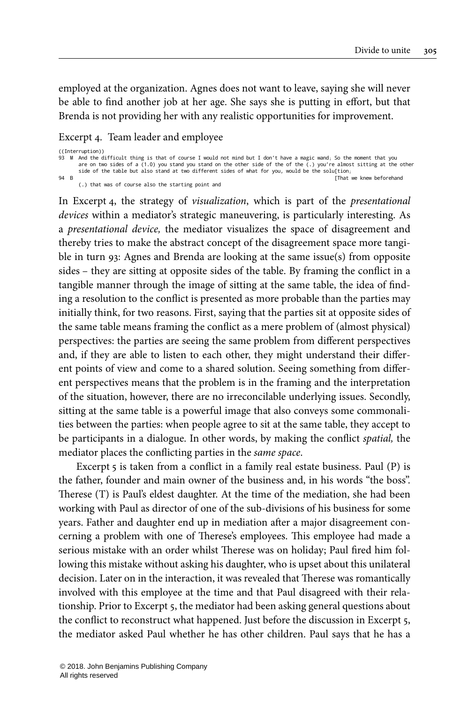employed at the organization. Agnes does not want to leave, saying she will never be able to find another job at her age. She says she is putting in effort, but that Brenda is not providing her with any realistic opportunities for improvement.

#### <span id="page-21-0"></span>Excerpt 4. Team leader and employee

```
((Interruption))
93 M And the difficult thing is that of course I would not mind but I don't have a magic wand, So the moment that you
        are on two sides of a (1.0) you stand you stand on the other side of the of the (.) you're almost sitting at the other<br>side of the table but also stand at two different sides of what for you, would be the solu[tion¡
94 B [That we knew beforehand
(.) that was of course also the starting point and
```
In [Excerpt](#page-21-0) 4, the strategy of visualization, which is part of the presentational devices within a mediator's strategic maneuvering, is particularly interesting. As a presentational device, the mediator visualizes the space of disagreement and thereby tries to make the abstract concept of the disagreement space more tangible in turn 93: Agnes and Brenda are looking at the same issue(s) from opposite sides – they are sitting at opposite sides of the table. By framing the conflict in a tangible manner through the image of sitting at the same table, the idea of finding a resolution to the conflict is presented as more probable than the parties may initially think, for two reasons. First, saying that the parties sit at opposite sides of the same table means framing the conflict as a mere problem of (almost physical) perspectives: the parties are seeing the same problem from different perspectives and, if they are able to listen to each other, they might understand their different points of view and come to a shared solution. Seeing something from different perspectives means that the problem is in the framing and the interpretation of the situation, however, there are no irreconcilable underlying issues. Secondly, sitting at the same table is a powerful image that also conveys some commonalities between the parties: when people agree to sit at the same table, they accept to be participants in a dialogue. In other words, by making the conflict spatial, the mediator places the conflicting parties in the same space.

[Excerpt](#page-22-1) 5 is taken from a conflict in a family real estate business. Paul (P) is the father, founder and main owner of the business and, in his words "the boss". Therese (T) is Paul's eldest daughter. At the time of the mediation, she had been working with Paul as director of one of the sub-divisions of his business for some years. Father and daughter end up in mediation after a major disagreement concerning a problem with one of Therese's employees. This employee had made a serious mistake with an order whilst Therese was on holiday; Paul fired him following this mistake without asking his daughter, who is upset about this unilateral decision. Later on in the interaction, it was revealed that Therese was romantically involved with this employee at the time and that Paul disagreed with their relationship. Prior to [Excerpt](#page-22-1) 5, the mediator had been asking general questions about the conflict to reconstruct what happened. Just before the discussion in [Excerpt](#page-22-1) 5, the mediator asked Paul whether he has other children. Paul says that he has a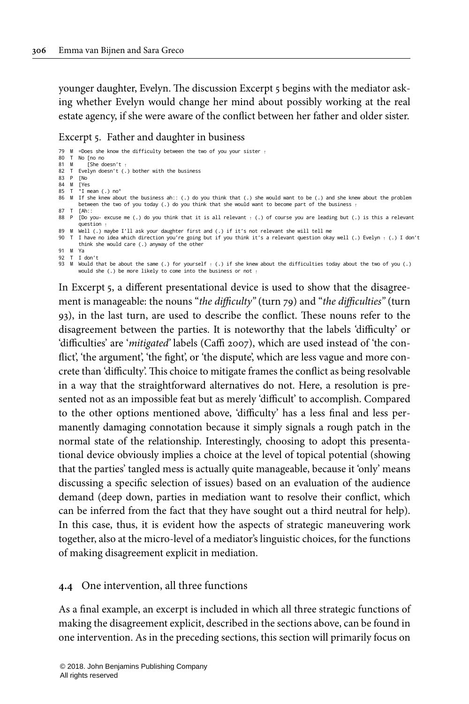younger daughter, Evelyn. The discussion [Excerpt](#page-22-1) 5 begins with the mediator asking whether Evelyn would change her mind about possibly working at the real estate agency, if she were aware of the conflict between her father and older sister.

#### <span id="page-22-1"></span>Excerpt 5. Father and daughter in business

```
79 M =Does she know the difficulty between the two of you your sister ↑
80 T No [no no<br>81 M [She do
           [She doesn't
82 T Evelyn doesn't (.) bother with the business
83 P [No
84 M [Yes
85 T °I mean (.) no°
86 M If she knew about the business ah:: (.) do you think that (.) she would want to be (.) and she knew about the problem
between the two of you today (.) do you think that she would want to become part of the business ↑
87 T [Ah::<br>88 P [Do you- excuse me (.) do you think that it is all relevant <sub>↑</sub> (.) of course you are leading but (.) is this a relevant<br>question <sub>↑</sub>
89 M Well (.) maybe I'll ask your daughter first and (.) if it's not relevant she will tell me
90 T I have no idea which direction you're going but if you think it's a relevant question okay well (.) Evelyn \uparrow (.) I don't
        think she would care (.) anyway of the other
91 M Ya
92 T I don't
93 M Would that be about the same (.) for yourself _1 (.) if she knew about the difficulties today about the two of you (.)
        would she (.) be more likely to come into the business or not ↑
```
In [Excerpt](#page-22-1) 5, a different presentational device is used to show that the disagreement is manageable: the nouns "the difficulty" (turn 79) and "the difficulties" (turn 93), in the last turn, are used to describe the conflict. These nouns refer to the disagreement between the parties. It is noteworthy that the labels 'difficulty' or 'difficulties' are 'mitigated' labels (Caffi [2007\)](#page-28-14), which are used instead of 'the conflict', 'the argument', 'the fight', or 'the dispute', which are less vague and more concrete than 'difficulty'. This choice to mitigate frames the conflict as being resolvable in a way that the straightforward alternatives do not. Here, a resolution is presented not as an impossible feat but as merely 'difficult' to accomplish. Compared to the other options mentioned above, 'difficulty' has a less final and less permanently damaging connotation because it simply signals a rough patch in the normal state of the relationship. Interestingly, choosing to adopt this presentational device obviously implies a choice at the level of topical potential (showing that the parties' tangled mess is actually quite manageable, because it 'only' means discussing a specific selection of issues) based on an evaluation of the audience demand (deep down, parties in mediation want to resolve their conflict, which can be inferred from the fact that they have sought out a third neutral for help). In this case, thus, it is evident how the aspects of strategic maneuvering work together, also at the micro-level of a mediator's linguistic choices, for the functions of making disagreement explicit in mediation.

#### <span id="page-22-0"></span>**4.4** One intervention, all three functions

As a final example, an excerpt is included in which all three strategic functions of making the disagreement explicit, described in the sections above, can be found in one intervention. As in the preceding sections, this section will primarily focus on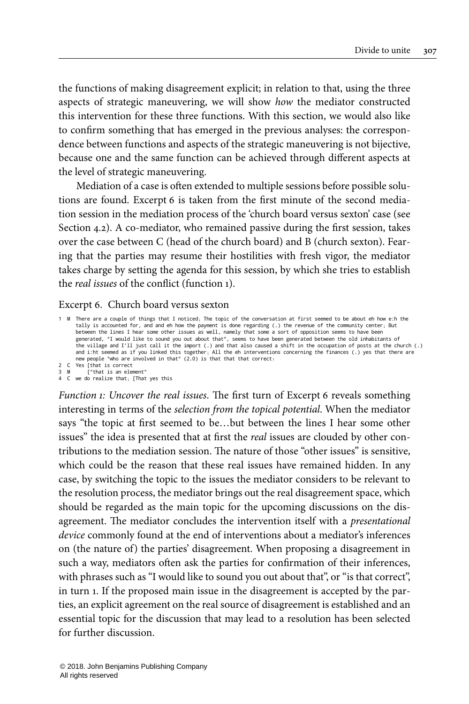the functions of making disagreement explicit; in relation to that, using the three aspects of strategic maneuvering, we will show how the mediator constructed this intervention for these three functions. With this section, we would also like to confirm something that has emerged in the previous analyses: the correspondence between functions and aspects of the strategic maneuvering is not bijective, because one and the same function can be achieved through different aspects at the level of strategic maneuvering.

Mediation of a case is often extended to multiple sessions before possible solutions are found. [Excerpt](#page-23-0) 6 is taken from the first minute of the second mediation session in the mediation process of the 'church board versus sexton' case (see [Section](#page-16-0) 4.2). A co-mediator, who remained passive during the first session, takes over the case between C (head of the church board) and B (church sexton). Fearing that the parties may resume their hostilities with fresh vigor, the mediator takes charge by setting the agenda for this session, by which she tries to establish the real issues of the conflict (function 1).

#### <span id="page-23-0"></span>Excerpt 6. Church board versus sexton

1 M There are a couple of things that I noticed↓ The topic of the conversation at first seemed to be about eh how e:h the tally is accounted for, and and eh how the payment is done regarding (.) the revenue of the community center⊥ But<br>between the lines I hear some other issues as well, namely that some a sort of opposition seems to have bee generated, °I would like to sound you out about that°, seems to have been generated between the old inhabitants of<br>the village and I'll just call it the import (.) and that also caused a shift in the occupation of posts a new people °who are involved in that° (2.0) is that that that correct<sub>1</sub> 2 C Yes [that is correct<br>3 M [that is an elem I°that is an element<sup>o</sup>

4 C we do realize that↓ [That yes this

Function 1: Uncover the real issues. The first turn of [Excerpt](#page-23-0) 6 reveals something interesting in terms of the selection from the topical potential. When the mediator says "the topic at first seemed to be…but between the lines I hear some other issues" the idea is presented that at first the *real* issues are clouded by other contributions to the mediation session. The nature of those "other issues" is sensitive, which could be the reason that these real issues have remained hidden. In any case, by switching the topic to the issues the mediator considers to be relevant to the resolution process, the mediator brings out the real disagreement space, which should be regarded as the main topic for the upcoming discussions on the disagreement. The mediator concludes the intervention itself with a presentational device commonly found at the end of interventions about a mediator's inferences on (the nature of) the parties' disagreement. When proposing a disagreement in such a way, mediators often ask the parties for confirmation of their inferences, with phrases such as "I would like to sound you out about that", or "is that correct", in turn 1. If the proposed main issue in the disagreement is accepted by the parties, an explicit agreement on the real source of disagreement is established and an essential topic for the discussion that may lead to a resolution has been selected for further discussion.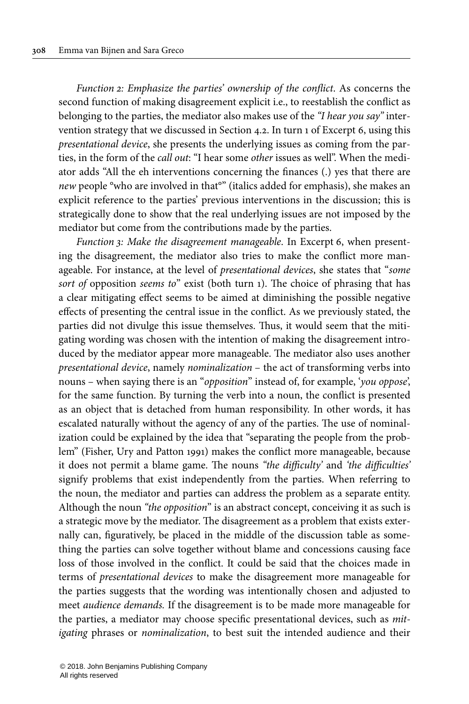Function 2: Emphasize the parties' ownership of the conflict. As concerns the second function of making disagreement explicit i.e., to reestablish the conflict as belonging to the parties, the mediator also makes use of the "I hear you say" intervention strategy that we discussed in [Section](#page-16-0) 4.2. In turn 1 of [Excerpt](#page-23-0) 6, using this presentational device, she presents the underlying issues as coming from the parties, in the form of the call out: "I hear some other issues as well". When the mediator adds "All the eh interventions concerning the finances (.) yes that there are new people °who are involved in that°" (italics added for emphasis), she makes an explicit reference to the parties' previous interventions in the discussion; this is strategically done to show that the real underlying issues are not imposed by the mediator but come from the contributions made by the parties.

Function 3: Make the disagreement manageable. In [Excerpt](#page-23-0) 6, when presenting the disagreement, the mediator also tries to make the conflict more manageable. For instance, at the level of presentational devices, she states that "some sort of opposition seems to" exist (both turn 1). The choice of phrasing that has a clear mitigating effect seems to be aimed at diminishing the possible negative effects of presenting the central issue in the conflict. As we previously stated, the parties did not divulge this issue themselves. Thus, it would seem that the mitigating wording was chosen with the intention of making the disagreement introduced by the mediator appear more manageable. The mediator also uses another presentational device, namely nominalization – the act of transforming verbs into nouns – when saying there is an "opposition" instead of, for example, 'you oppose', for the same function. By turning the verb into a noun, the conflict is presented as an object that is detached from human responsibility. In other words, it has escalated naturally without the agency of any of the parties. The use of nominalization could be explained by the idea that "separating the people from the problem" [\(Fisher,](#page-28-10) Ury and Patton 1991) makes the conflict more manageable, because it does not permit a blame game. The nouns "the difficulty' and 'the difficulties' signify problems that exist independently from the parties. When referring to the noun, the mediator and parties can address the problem as a separate entity. Although the noun "the opposition" is an abstract concept, conceiving it as such is a strategic move by the mediator. The disagreement as a problem that exists externally can, figuratively, be placed in the middle of the discussion table as something the parties can solve together without blame and concessions causing face loss of those involved in the conflict. It could be said that the choices made in terms of presentational devices to make the disagreement more manageable for the parties suggests that the wording was intentionally chosen and adjusted to meet audience demands. If the disagreement is to be made more manageable for the parties, a mediator may choose specific presentational devices, such as mitigating phrases or nominalization, to best suit the intended audience and their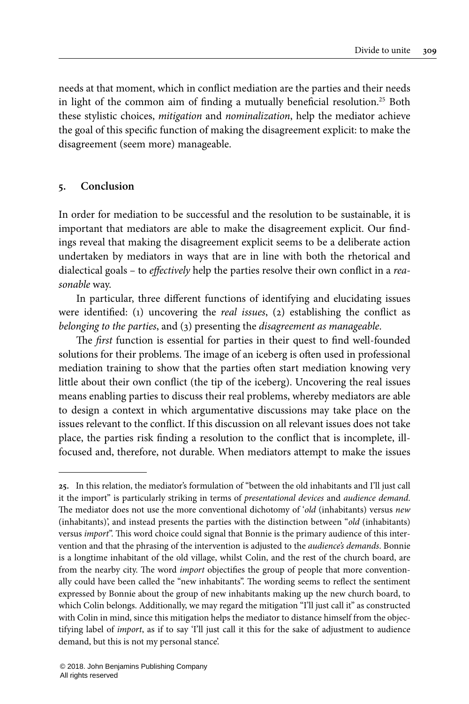needs at that moment, which in conflict mediation are the parties and their needs in light of the common aim of finding a mutually beneficial resolution.<sup>25</sup> Both these stylistic choices, mitigation and nominalization, help the mediator achieve the goal of this specific function of making the disagreement explicit: to make the disagreement (seem more) manageable.

## <span id="page-25-0"></span>**5. Conclusion**

In order for mediation to be successful and the resolution to be sustainable, it is important that mediators are able to make the disagreement explicit. Our findings reveal that making the disagreement explicit seems to be a deliberate action undertaken by mediators in ways that are in line with both the rhetorical and dialectical goals – to effectively help the parties resolve their own conflict in a reasonable way.

In particular, three different functions of identifying and elucidating issues were identified: (1) uncovering the real issues, (2) establishing the conflict as belonging to the parties, and (3) presenting the disagreement as manageable.

The first function is essential for parties in their quest to find well-founded solutions for their problems. The image of an iceberg is often used in professional mediation training to show that the parties often start mediation knowing very little about their own conflict (the tip of the iceberg). Uncovering the real issues means enabling parties to discuss their real problems, whereby mediators are able to design a context in which argumentative discussions may take place on the issues relevant to the conflict. If this discussion on all relevant issues does not take place, the parties risk finding a resolution to the conflict that is incomplete, illfocused and, therefore, not durable. When mediators attempt to make the issues

**<sup>25.</sup>** In this relation, the mediator's formulation of "between the old inhabitants and I'll just call it the import" is particularly striking in terms of presentational devices and audience demand. The mediator does not use the more conventional dichotomy of 'old (inhabitants) versus new (inhabitants)', and instead presents the parties with the distinction between "old (inhabitants) versus *import*". This word choice could signal that Bonnie is the primary audience of this intervention and that the phrasing of the intervention is adjusted to the audience's demands. Bonnie is a longtime inhabitant of the old village, whilst Colin, and the rest of the church board, are from the nearby city. The word import objectifies the group of people that more conventionally could have been called the "new inhabitants". The wording seems to reflect the sentiment expressed by Bonnie about the group of new inhabitants making up the new church board, to which Colin belongs. Additionally, we may regard the mitigation "I'll just call it" as constructed with Colin in mind, since this mitigation helps the mediator to distance himself from the objectifying label of import, as if to say 'I'll just call it this for the sake of adjustment to audience demand, but this is not my personal stance'.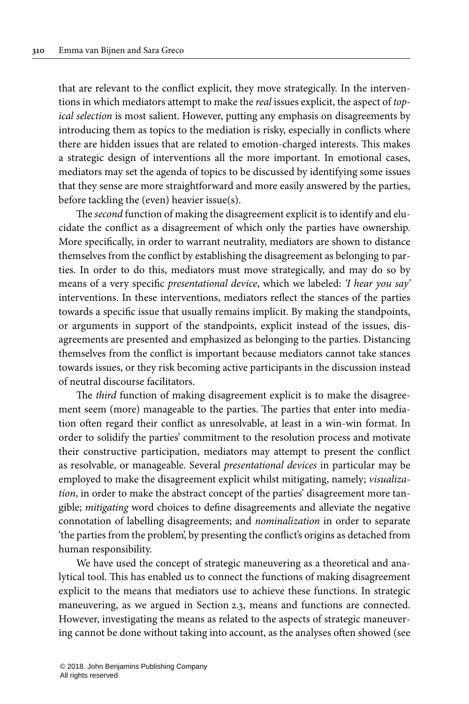that are relevant to the conflict explicit, they move strategically. In the interventions in which mediators attempt to make the real issues explicit, the aspect of topical selection is most salient. However, putting any emphasis on disagreements by introducing them as topics to the mediation is risky, especially in conflicts where there are hidden issues that are related to emotion-charged interests. This makes a strategic design of interventions all the more important. In emotional cases, mediators may set the agenda of topics to be discussed by identifying some issues that they sense are more straightforward and more easily answered by the parties, before tackling the (even) heavier issue(s).

The second function of making the disagreement explicit is to identify and elucidate the conflict as a disagreement of which only the parties have ownership. More specifically, in order to warrant neutrality, mediators are shown to distance themselves from the conflict by establishing the disagreement as belonging to parties. In order to do this, mediators must move strategically, and may do so by means of a very specific presentational device, which we labeled: 'I hear you say' interventions. In these interventions, mediators reflect the stances of the parties towards a specific issue that usually remains implicit. By making the standpoints, or arguments in support of the standpoints, explicit instead of the issues, disagreements are presented and emphasized as belonging to the parties. Distancing themselves from the conflict is important because mediators cannot take stances towards issues, or they risk becoming active participants in the discussion instead of neutral discourse facilitators.

The third function of making disagreement explicit is to make the disagreement seem (more) manageable to the parties. The parties that enter into mediation often regard their conflict as unresolvable, at least in a win-win format. In order to solidify the parties' commitment to the resolution process and motivate their constructive participation, mediators may attempt to present the conflict as resolvable, or manageable. Several presentational devices in particular may be employed to make the disagreement explicit whilst mitigating, namely; *visualiza*tion, in order to make the abstract concept of the parties' disagreement more tangible; mitigating word choices to define disagreements and alleviate the negative connotation of labelling disagreements; and nominalization in order to separate 'the parties from the problem', by presenting the conflict's origins as detached from human responsibility.

We have used the concept of strategic maneuvering as a theoretical and analytical tool. This has enabled us to connect the functions of making disagreement explicit to the means that mediators use to achieve these functions. In strategic maneuvering, as we argued in Section 2.3, means and functions are connected. However, investigating the means as related to the aspects of strategic maneuvering cannot be done without taking into account, as the analyses often showed (see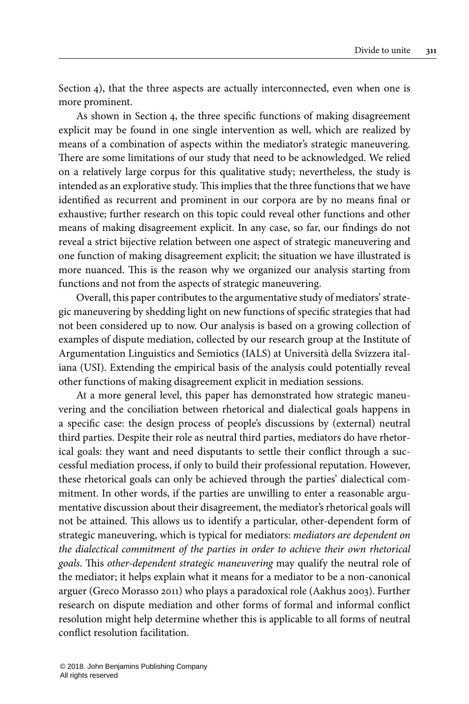[Section](#page-12-0) 4), that the three aspects are actually interconnected, even when one is more prominent.

As shown in [Section](#page-12-0) 4, the three specific functions of making disagreement explicit may be found in one single intervention as well, which are realized by means of a combination of aspects within the mediator's strategic maneuvering. There are some limitations of our study that need to be acknowledged. We relied on a relatively large corpus for this qualitative study; nevertheless, the study is intended as an explorative study. This implies that the three functions that we have identified as recurrent and prominent in our corpora are by no means final or exhaustive; further research on this topic could reveal other functions and other means of making disagreement explicit. In any case, so far, our findings do not reveal a strict bijective relation between one aspect of strategic maneuvering and one function of making disagreement explicit; the situation we have illustrated is more nuanced. This is the reason why we organized our analysis starting from functions and not from the aspects of strategic maneuvering.

Overall, this paper contributes to the argumentative study of mediators' strategic maneuvering by shedding light on new functions of specific strategies that had not been considered up to now. Our analysis is based on a growing collection of examples of dispute mediation, collected by our research group at the Institute of Argumentation Linguistics and Semiotics (IALS) at Università della Svizzera italiana (USI). Extending the empirical basis of the analysis could potentially reveal other functions of making disagreement explicit in mediation sessions.

At a more general level, this paper has demonstrated how strategic maneuvering and the conciliation between rhetorical and dialectical goals happens in a specific case: the design process of people's discussions by (external) neutral third parties. Despite their role as neutral third parties, mediators do have rhetorical goals: they want and need disputants to settle their conflict through a successful mediation process, if only to build their professional reputation. However, these rhetorical goals can only be achieved through the parties' dialectical commitment. In other words, if the parties are unwilling to enter a reasonable argumentative discussion about their disagreement, the mediator's rhetorical goals will not be attained. This allows us to identify a particular, other-dependent form of strategic maneuvering, which is typical for mediators: mediators are dependent on the dialectical commitment of the parties in order to achieve their own rhetorical goals. This other-dependent strategic maneuvering may qualify the neutral role of the mediator; it helps explain what it means for a mediator to be a non-canonical arguer (Greco [Morasso](#page-29-1) 2011) who plays a paradoxical role [\(Aakhus](#page-28-1) 2003). Further research on dispute mediation and other forms of formal and informal conflict resolution might help determine whether this is applicable to all forms of neutral conflict resolution facilitation.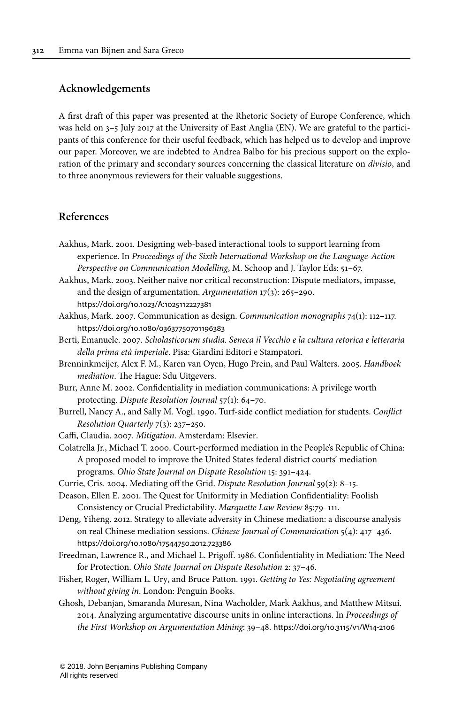#### **Acknowledgements**

A first draft of this paper was presented at the Rhetoric Society of Europe Conference, which was held on 3–5 July 2017 at the University of East Anglia (EN). We are grateful to the participants of this conference for their useful feedback, which has helped us to develop and improve our paper. Moreover, we are indebted to Andrea Balbo for his precious support on the exploration of the primary and secondary sources concerning the classical literature on divisio, and to three anonymous reviewers for their valuable suggestions.

#### **References**

- <span id="page-28-12"></span>Aakhus, Mark. 2001. Designing web-based interactional tools to support learning from experience. In Proceedings of the Sixth International Workshop on the Language-Action Perspective on Communication Modelling, M. Schoop and J. Taylor Eds: 51–67.
- <span id="page-28-1"></span>Aakhus, Mark. 2003. Neither naive nor critical reconstruction: Dispute mediators, impasse, and the design of argumentation. Argumentation 17(3): 265–290. [https://doi.org/10.1023/A:1025112227381](https://doi.org/10.1023%2FA%3A1025112227381)
- <span id="page-28-5"></span>Aakhus, Mark. 2007. Communication as design. Communication monographs 74(1): 112–117. [https://doi.org/10.1080/03637750701196383](https://doi.org/10.1080%2F03637750701196383)
- <span id="page-28-6"></span>Berti, Emanuele. 2007. Scholasticorum studia. Seneca il Vecchio e la cultura retorica e letteraria della prima età imperiale. Pisa: Giardini Editori e Stampatori.
- <span id="page-28-11"></span>Brenninkmeijer, Alex F. M., Karen van Oyen, Hugo Prein, and Paul Walters. 2005. Handboek mediation. The Hague: Sdu Uitgevers.
- <span id="page-28-9"></span>Burr, Anne M. 2002. Confidentiality in mediation communications: A privilege worth protecting. Dispute Resolution Journal 57(1): 64–70.
- <span id="page-28-0"></span>Burrell, Nancy A., and Sally M. Vogl. 1990. Turf-side conflict mediation for students. Conflict Resolution Quarterly 7(3): 237–250.
- <span id="page-28-14"></span>Caffi, Claudia. 2007. Mitigation. Amsterdam: Elsevier.
- <span id="page-28-3"></span>Colatrella Jr., Michael T. 2000. Court-performed mediation in the People's Republic of China: A proposed model to improve the United States federal district courts' mediation programs. Ohio State Journal on Dispute Resolution 15: 391–424.
- <span id="page-28-2"></span>Currie, Cris. 2004. Mediating off the Grid. Dispute Resolution Journal 59(2): 8–15.

<span id="page-28-8"></span>Deason, Ellen E. 2001. The Quest for Uniformity in Mediation Confidentiality: Foolish Consistency or Crucial Predictability. Marquette Law Review 85:79–111.

- <span id="page-28-4"></span>Deng, Yiheng. 2012. Strategy to alleviate adversity in Chinese mediation: a discourse analysis on real Chinese mediation sessions. Chinese Journal of Communication 5(4): 417–436. [https://doi.org/10.1080/17544750.2012.723386](https://doi.org/10.1080%2F17544750.2012.723386)
- <span id="page-28-7"></span>Freedman, Lawrence R., and Michael L. Prigoff. 1986. Confidentiality in Mediation: The Need for Protection. Ohio State Journal on Dispute Resolution 2: 37–46.
- <span id="page-28-10"></span>Fisher, Roger, William L. Ury, and Bruce Patton. 1991. Getting to Yes: Negotiating agreement without giving in. London: Penguin Books.
- <span id="page-28-13"></span>Ghosh, Debanjan, Smaranda Muresan, Nina Wacholder, Mark Aakhus, and Matthew Mitsui. 2014. Analyzing argumentative discourse units in online interactions. In Proceedings of the First Workshop on Argumentation Mining: 39–48. [https://doi.org/10.3115/v1/W14](https://doi.org/10.3115%2Fv1%2FW14-2106)‑2106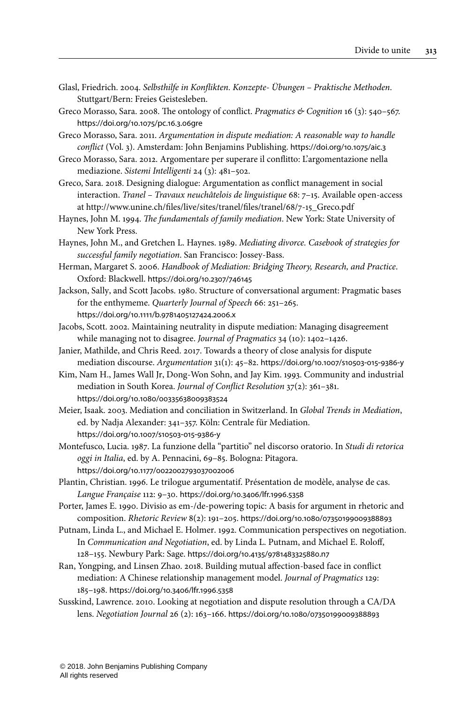<span id="page-29-16"></span>Glasl, Friedrich. 2004. Selbsthilfe in Konflikten. Konzepte- Übungen – Praktische Methoden. Stuttgart/Bern: Freies Geistesleben.

<span id="page-29-17"></span>Greco Morasso, Sara. 2008. The ontology of conflict. Pragmatics & Cognition 16 (3): 540-567. [https://doi.org/10.1075/pc.16.3.06gre](https://doi.org/10.1075%2Fpc.16.3.06gre)

<span id="page-29-1"></span>Greco Morasso, Sara. 2011. Argumentation in dispute mediation: A reasonable way to handle conflict (Vol. 3). Amsterdam: John Benjamins Publishing. [https://doi.org/10.1075/aic.3](https://doi.org/10.1075%2Faic.3)

<span id="page-29-10"></span>Greco Morasso, Sara. 2012. Argomentare per superare il conflitto: L'argomentazione nella mediazione. Sistemi Intelligenti 24 (3): 481–502.

- <span id="page-29-7"></span>Greco, Sara. 2018. Designing dialogue: Argumentation as conflict management in social interaction. Tranel – Travaux neuchâtelois de linguistique 68: 7–15. Available open-access at [http://www.unine.ch/files/live/sites/tranel/files/tranel/68/7-15\\_Greco.pdf](http://www.unine.ch/files/live/sites/tranel/files/tranel/68/7-15_Greco.pdf)
- <span id="page-29-18"></span>Haynes, John M. 1994. The fundamentals of family mediation. New York: State University of New York Press.
- <span id="page-29-14"></span>Haynes, John M., and Gretchen L. Haynes. 1989. Mediating divorce. Casebook of strategies for successful family negotiation. San Francisco: Jossey-Bass.
- <span id="page-29-0"></span>Herman, Margaret S. 2006. Handbook of Mediation: Bridging Theory, Research, and Practice. Oxford: Blackwell. [https://doi.org/10.2307/746145](https://doi.org/10.2307%2F746145)
- <span id="page-29-5"></span>Jackson, Sally, and Scott Jacobs. 1980. Structure of conversational argument: Pragmatic bases for the enthymeme. Quarterly Journal of Speech 66: 251–265. [https://doi.org/10.1111/b.9781405127424.2006.x](https://doi.org/10.1111%2Fb.9781405127424.2006.x)
- <span id="page-29-2"></span>Jacobs, Scott. 2002. Maintaining neutrality in dispute mediation: Managing disagreement while managing not to disagree. Journal of Pragmatics 34 (10): 1402–1426.
- <span id="page-29-13"></span>Janier, Mathilde, and Chris Reed. 2017. Towards a theory of close analysis for dispute mediation discourse. Argumentation 31(1): 45–82. [https://doi.org/10.1007/s10503](https://doi.org/10.1007%2Fs10503-015-9386-y)‑015‑9386‑y
- <span id="page-29-3"></span>Kim, Nam H., James Wall Jr, Dong-Won Sohn, and Jay Kim. 1993. Community and industrial mediation in South Korea. Journal of Conflict Resolution 37(2): 361–381. [https://doi.org/10.1080/00335638009383524](https://doi.org/10.1080%2F00335638009383524)
- <span id="page-29-15"></span>Meier, Isaak. 2003. Mediation and conciliation in Switzerland. In Global Trends in Mediation, ed. by Nadja Alexander: 341–357. Köln: Centrale für Mediation. [https://doi.org/10.1007/s10503](https://doi.org/10.1007%2Fs10503-015-9386-y)‑015‑9386‑y
- <span id="page-29-8"></span>Montefusco, Lucia. 1987. La funzione della "partitio" nel discorso oratorio. In Studi di retorica oggi in Italia, ed. by A. Pennacini, 69–85. Bologna: Pitagora. [https://doi.org/10.1177/0022002793037002006](https://doi.org/10.1177%2F0022002793037002006)
- <span id="page-29-6"></span>Plantin, Christian. 1996. Le trilogue argumentatif. Présentation de modèle, analyse de cas. Langue Française 112: 9–30. [https://doi.org/10.3406/lfr.1996.5358](https://doi.org/10.3406%2Flfr.1996.5358)
- <span id="page-29-9"></span>Porter, James E. 1990. Divisio as em-/de-powering topic: A basis for argument in rhetoric and composition. Rhetoric Review 8(2): 191–205. [https://doi.org/10.1080/07350199009388893](https://doi.org/10.1080%2F07350199009388893)
- <span id="page-29-11"></span>Putnam, Linda L., and Michael E. Holmer. 1992. Communication perspectives on negotiation. In Communication and Negotiation, ed. by Linda L. Putnam, and Michael E. Roloff, 128–155. Newbury Park: Sage. [https://doi.org/10.4135/9781483325880.n7](https://doi.org/10.4135%2F9781483325880.n7)
- <span id="page-29-4"></span>Ran, Yongping, and Linsen Zhao. 2018. Building mutual affection-based face in conflict mediation: A Chinese relationship management model. Journal of Pragmatics 129: 185–198. [https://doi.org/10.3406/lfr.1996.5358](https://doi.org/10.3406%2Flfr.1996.5358)
- <span id="page-29-12"></span>Susskind, Lawrence. 2010. Looking at negotiation and dispute resolution through a CA/DA lens. Negotiation Journal 26 (2): 163–166. [https://doi.org/10.1080/07350199009388893](https://doi.org/10.1080%2F07350199009388893)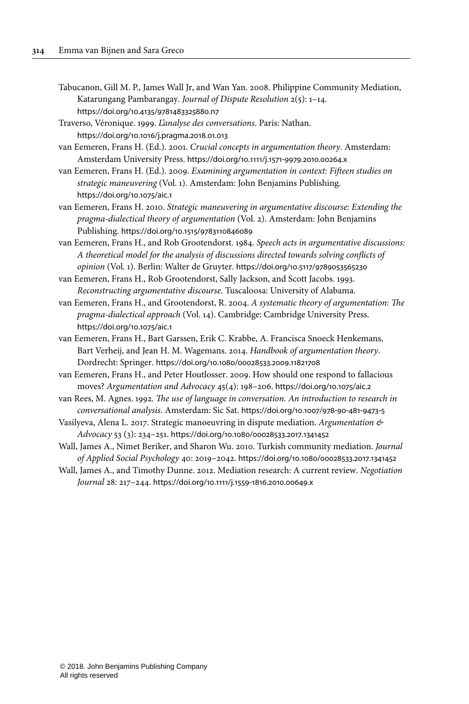- <span id="page-30-3"></span>Tabucanon, Gill M. P., James Wall Jr, and Wan Yan. 2008. Philippine Community Mediation, Katarungang Pambarangay. Journal of Dispute Resolution 2(5): 1–14. [https://doi.org/10.4135/9781483325880.n7](https://doi.org/10.4135%2F9781483325880.n7)
- <span id="page-30-11"></span>Traverso, Véronique. 1999. L'analyse des conversations. Paris: Nathan. [https://doi.org/10.1016/j.pragma.2018.01.013](https://doi.org/10.1016%2Fj.pragma.2018.01.013)
- <span id="page-30-8"></span>van Eemeren, Frans H. (Ed.). 2001. Crucial concepts in argumentation theory. Amsterdam: Amsterdam University Press. [https://doi.org/10.1111/j.1571](https://doi.org/10.1111%2Fj.1571-9979.2010.00264.x)‑9979.2010.00264.x
- van Eemeren, Frans H. (Ed.). 2009. Examining argumentation in context: Fifteen studies on strategic maneuvering (Vol. 1). Amsterdam: John Benjamins Publishing. [https://doi.org/10.1075/aic.1](https://doi.org/10.1075%2Faic.1)
- <span id="page-30-0"></span>van Eemeren, Frans H. 2010. Strategic maneuvering in argumentative discourse: Extending the pragma-dialectical theory of argumentation (Vol. 2). Amsterdam: John Benjamins Publishing. [https://doi.org/10.1515/9783110846089](https://doi.org/10.1515%2F9783110846089)
- <span id="page-30-6"></span>van Eemeren, Frans H., and Rob Grootendorst. 1984. Speech acts in argumentative discussions: A theoretical model for the analysis of discussions directed towards solving conflicts of opinion (Vol. 1). Berlin: Walter de Gruyter. [https://doi.org/10.5117/9789053565230](https://doi.org/10.5117%2F9789053565230)

<span id="page-30-1"></span>van Eemeren, Frans H., Rob Grootendorst, Sally Jackson, and Scott Jacobs. 1993. Reconstructing argumentative discourse. Tuscaloosa: University of Alabama.

- <span id="page-30-7"></span>van Eemeren, Frans H., and Grootendorst, R. 2004. A systematic theory of argumentation: The pragma-dialectical approach (Vol. 14). Cambridge: Cambridge University Press. [https://doi.org/10.1075/aic.1](https://doi.org/10.1075%2Faic.1)
- <span id="page-30-9"></span>van Eemeren, Frans H., Bart Garssen, Erik C. Krabbe, A. Francisca Snoeck Henkemans, Bart Verheij, and Jean H. M. Wagemans. 2014. Handbook of argumentation theory. Dordrecht: Springer. [https://doi.org/10.1080/00028533.2009.11821708](https://doi.org/10.1080%2F00028533.2009.11821708)
- <span id="page-30-10"></span>van Eemeren, Frans H., and Peter Houtlosser. 2009. How should one respond to fallacious moves? Argumentation and Advocacy 45(4): 198–206. [https://doi.org/10.1075/aic.2](https://doi.org/10.1075%2Faic.2)
- <span id="page-30-12"></span>van Rees, M. Agnes. 1992. The use of language in conversation. An introduction to research in conversational analysis. Amsterdam: Sic Sat. [https://doi.org/10.1007/978](https://doi.org/10.1007%2F978-90-481-9473-5)‑90‑481‑9473‑5
- <span id="page-30-2"></span>Vasilyeva, Alena L. 2017. Strategic manoeuvring in dispute mediation. Argumentation & Advocacy 53 (3): 234–251. [https://doi.org/10.1080/00028533.2017.1341452](https://doi.org/10.1080%2F00028533.2017.1341452)
- <span id="page-30-4"></span>Wall, James A., Nimet Beriker, and Sharon Wu. 2010. Turkish community mediation. Journal of Applied Social Psychology 40: 2019–2042. [https://doi.org/10.1080/00028533.2017.1341452](https://doi.org/10.1080%2F00028533.2017.1341452)
- <span id="page-30-5"></span>Wall, James A., and Timothy Dunne. 2012. Mediation research: A current review. Negotiation Journal 28: 217–244. [https://doi.org/10.1111/j.1559](https://doi.org/10.1111%2Fj.1559-1816.2010.00649.x)‑1816.2010.00649.x